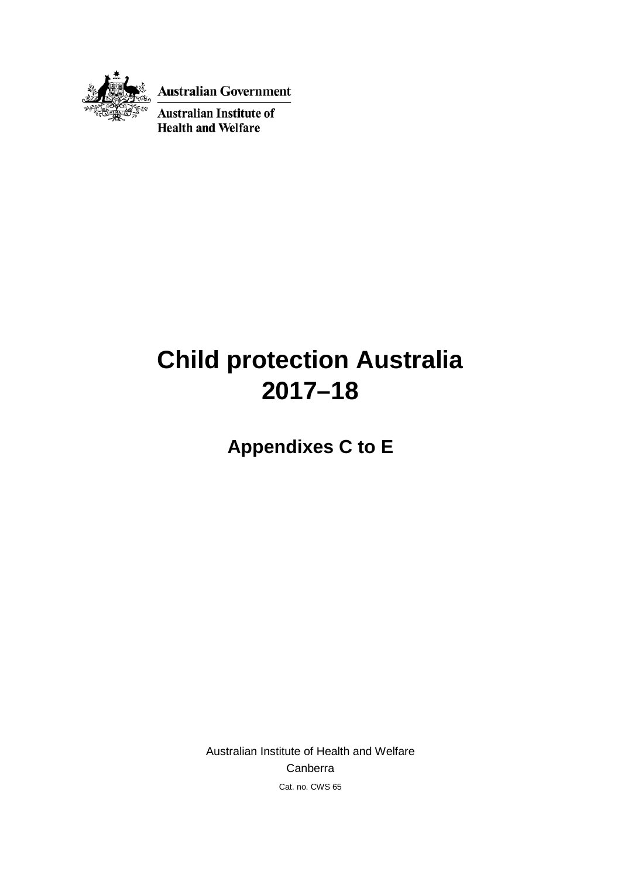

**Australian Government** 

**Australian Institute of Health and Welfare** 

# **Child protection Australia 2017–18**

**Appendixes C to E**

Australian Institute of Health and Welfare Canberra Cat. no. CWS 65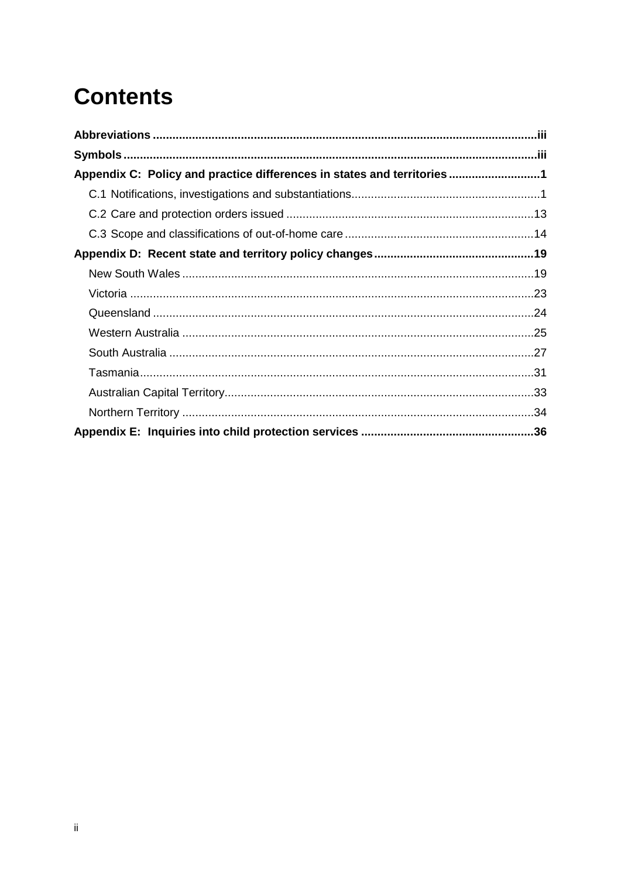# **Contents**

| Appendix C: Policy and practice differences in states and territories1 |  |
|------------------------------------------------------------------------|--|
|                                                                        |  |
|                                                                        |  |
|                                                                        |  |
|                                                                        |  |
|                                                                        |  |
|                                                                        |  |
|                                                                        |  |
|                                                                        |  |
|                                                                        |  |
|                                                                        |  |
|                                                                        |  |
|                                                                        |  |
|                                                                        |  |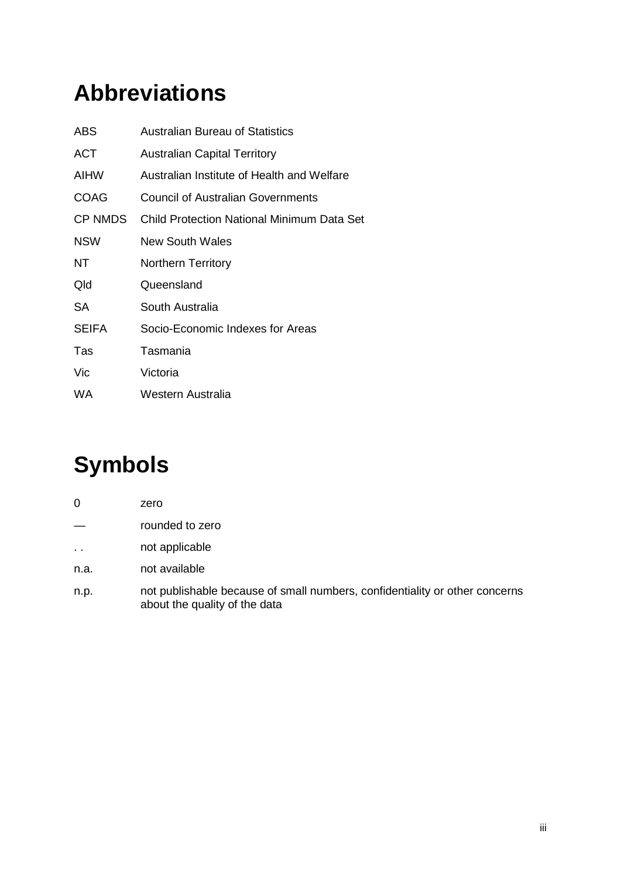# <span id="page-2-0"></span>**Abbreviations**

| <b>ABS</b>   | Australian Bureau of Statistics                   |
|--------------|---------------------------------------------------|
| ACT          | <b>Australian Capital Territory</b>               |
| AIHW         | Australian Institute of Health and Welfare        |
| COAG         | Council of Australian Governments                 |
| CP NMDS      | <b>Child Protection National Minimum Data Set</b> |
| <b>NSW</b>   | New South Wales                                   |
| NT.          | Northern Territory                                |
| Qld          | Queensland                                        |
| SA           | South Australia                                   |
| <b>SEIFA</b> | Socio-Economic Indexes for Areas                  |
| Tas          | Tasmania                                          |
| Vic          | Victoria                                          |
| WA           | Western Australia                                 |

# <span id="page-2-1"></span>**Symbols**

| 0    | zero            |  |
|------|-----------------|--|
|      | rounded to zero |  |
| . .  | not applicable  |  |
| n.a. | not available   |  |
|      | .               |  |

n.p. not publishable because of small numbers, confidentiality or other concerns about the quality of the data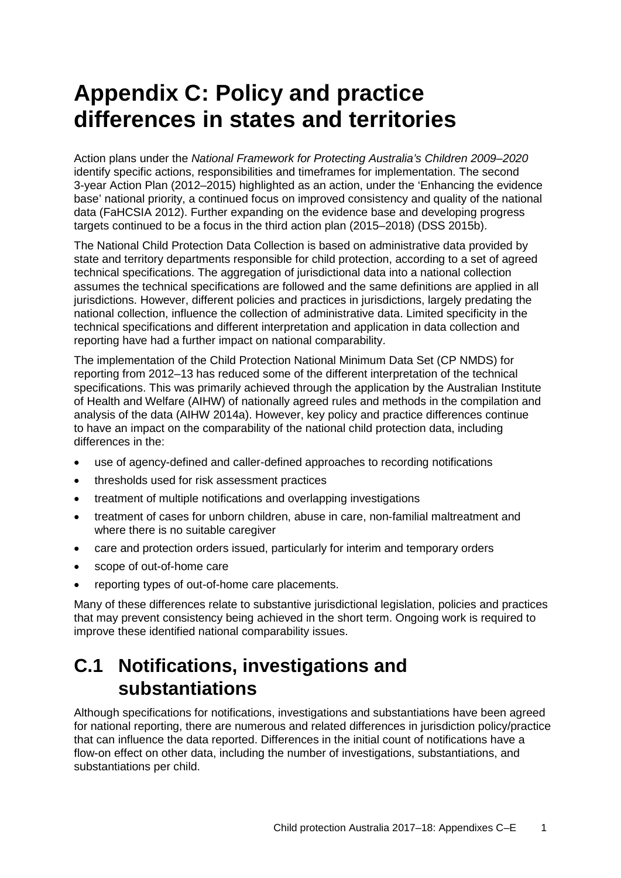# <span id="page-4-0"></span>**Appendix C: Policy and practice differences in states and territories**

Action plans under the *National Framework for Protecting Australia's Children 2009–2020* identify specific actions, responsibilities and timeframes for implementation. The second 3-year Action Plan (2012–2015) highlighted as an action, under the 'Enhancing the evidence base' national priority, a continued focus on improved consistency and quality of the national data (FaHCSIA 2012). Further expanding on the evidence base and developing progress targets continued to be a focus in the third action plan (2015–2018) (DSS 2015b).

The National Child Protection Data Collection is based on administrative data provided by state and territory departments responsible for child protection, according to a set of agreed technical specifications. The aggregation of jurisdictional data into a national collection assumes the technical specifications are followed and the same definitions are applied in all jurisdictions. However, different policies and practices in jurisdictions, largely predating the national collection, influence the collection of administrative data. Limited specificity in the technical specifications and different interpretation and application in data collection and reporting have had a further impact on national comparability.

The implementation of the Child Protection National Minimum Data Set (CP NMDS) for reporting from 2012–13 has reduced some of the different interpretation of the technical specifications. This was primarily achieved through the application by the Australian Institute of Health and Welfare (AIHW) of nationally agreed rules and methods in the compilation and analysis of the data (AIHW 2014a). However, key policy and practice differences continue to have an impact on the comparability of the national child protection data, including differences in the:

- use of agency-defined and caller-defined approaches to recording notifications
- thresholds used for risk assessment practices
- treatment of multiple notifications and overlapping investigations
- treatment of cases for unborn children, abuse in care, non-familial maltreatment and where there is no suitable caregiver
- care and protection orders issued, particularly for interim and temporary orders
- scope of out-of-home care
- reporting types of out-of-home care placements.

Many of these differences relate to substantive jurisdictional legislation, policies and practices that may prevent consistency being achieved in the short term. Ongoing work is required to improve these identified national comparability issues.

## <span id="page-4-1"></span>**C.1 Notifications, investigations and substantiations**

Although specifications for notifications, investigations and substantiations have been agreed for national reporting, there are numerous and related differences in jurisdiction policy/practice that can influence the data reported. Differences in the initial count of notifications have a flow-on effect on other data, including the number of investigations, substantiations, and substantiations per child.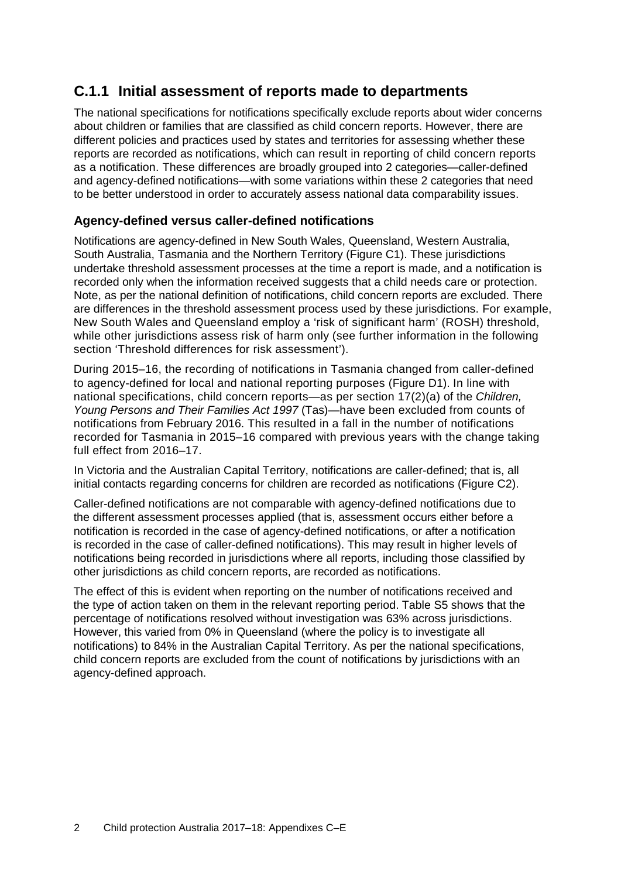### **C.1.1 Initial assessment of reports made to departments**

The national specifications for notifications specifically exclude reports about wider concerns about children or families that are classified as child concern reports. However, there are different policies and practices used by states and territories for assessing whether these reports are recorded as notifications, which can result in reporting of child concern reports as a notification. These differences are broadly grouped into 2 categories—caller-defined and agency-defined notifications—with some variations within these 2 categories that need to be better understood in order to accurately assess national data comparability issues.

#### **Agency-defined versus caller-defined notifications**

Notifications are agency-defined in New South Wales, Queensland, Western Australia, South Australia, Tasmania and the Northern Territory (Figure C1). These jurisdictions undertake threshold assessment processes at the time a report is made, and a notification is recorded only when the information received suggests that a child needs care or protection. Note, as per the national definition of notifications, child concern reports are excluded. There are differences in the threshold assessment process used by these jurisdictions. For example, New South Wales and Queensland employ a 'risk of significant harm' (ROSH) threshold, while other jurisdictions assess risk of harm only (see further information in the following section 'Threshold differences for risk assessment').

During 2015–16, the recording of notifications in Tasmania changed from caller-defined to agency-defined for local and national reporting purposes (Figure D1). In line with national specifications, child concern reports—as per section 17(2)(a) of the *Children, Young Persons and Their Families Act 1997* (Tas)—have been excluded from counts of notifications from February 2016. This resulted in a fall in the number of notifications recorded for Tasmania in 2015–16 compared with previous years with the change taking full effect from 2016–17.

In Victoria and the Australian Capital Territory, notifications are caller-defined; that is, all initial contacts regarding concerns for children are recorded as notifications (Figure C2).

Caller-defined notifications are not comparable with agency-defined notifications due to the different assessment processes applied (that is, assessment occurs either before a notification is recorded in the case of agency-defined notifications, or after a notification is recorded in the case of caller-defined notifications). This may result in higher levels of notifications being recorded in jurisdictions where all reports, including those classified by other jurisdictions as child concern reports, are recorded as notifications.

The effect of this is evident when reporting on the number of notifications received and the type of action taken on them in the relevant reporting period. Table S5 shows that the percentage of notifications resolved without investigation was 63% across jurisdictions. However, this varied from 0% in Queensland (where the policy is to investigate all notifications) to 84% in the Australian Capital Territory. As per the national specifications, child concern reports are excluded from the count of notifications by jurisdictions with an agency-defined approach.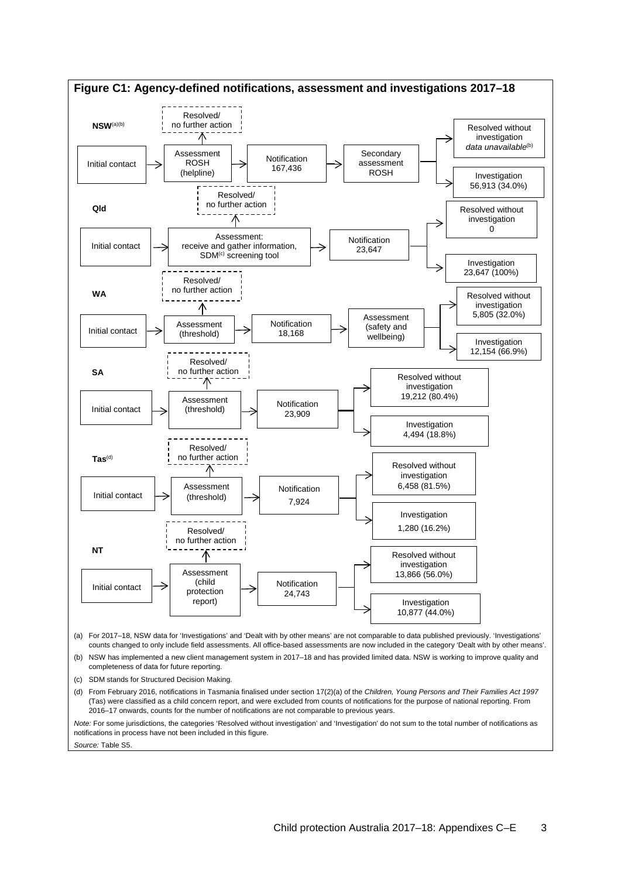

*Source:* Table S5.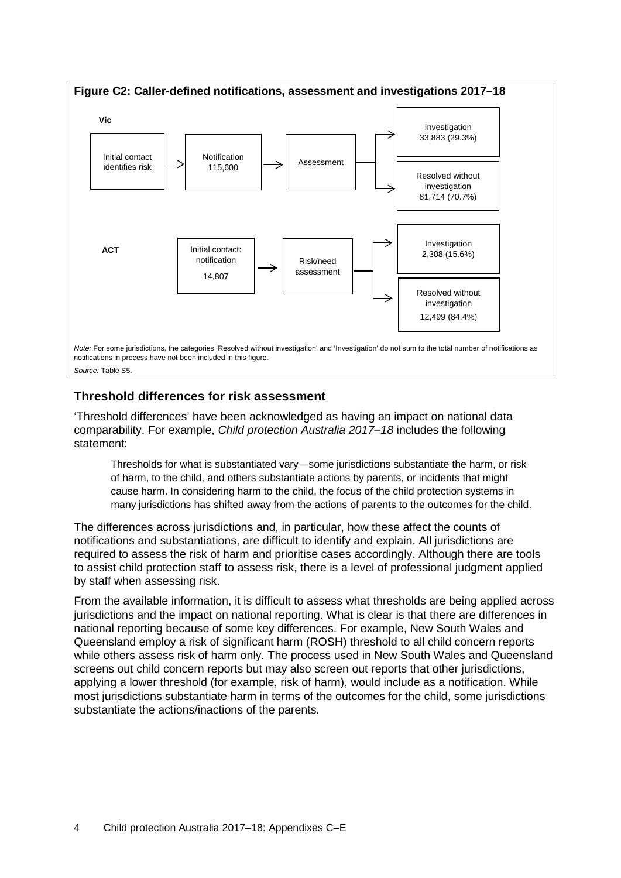

#### **Threshold differences for risk assessment**

'Threshold differences' have been acknowledged as having an impact on national data comparability. For example, *Child protection Australia 2017–18* includes the following statement:

Thresholds for what is substantiated vary—some jurisdictions substantiate the harm, or risk of harm, to the child, and others substantiate actions by parents, or incidents that might cause harm. In considering harm to the child, the focus of the child protection systems in many jurisdictions has shifted away from the actions of parents to the outcomes for the child.

The differences across jurisdictions and, in particular, how these affect the counts of notifications and substantiations, are difficult to identify and explain. All jurisdictions are required to assess the risk of harm and prioritise cases accordingly. Although there are tools to assist child protection staff to assess risk, there is a level of professional judgment applied by staff when assessing risk.

From the available information, it is difficult to assess what thresholds are being applied across jurisdictions and the impact on national reporting. What is clear is that there are differences in national reporting because of some key differences. For example, New South Wales and Queensland employ a risk of significant harm (ROSH) threshold to all child concern reports while others assess risk of harm only. The process used in New South Wales and Queensland screens out child concern reports but may also screen out reports that other jurisdictions, applying a lower threshold (for example, risk of harm), would include as a notification. While most jurisdictions substantiate harm in terms of the outcomes for the child, some jurisdictions substantiate the actions/inactions of the parents.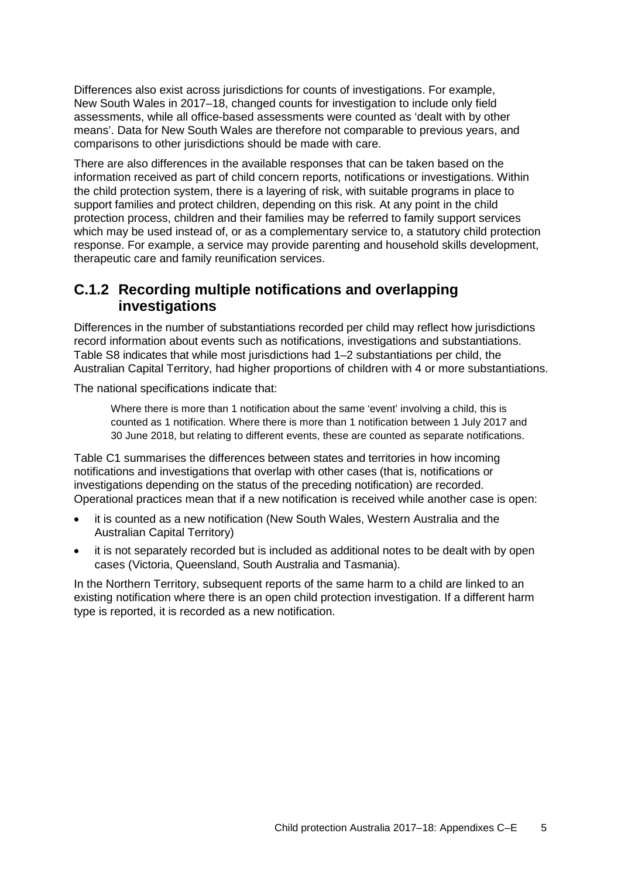Differences also exist across jurisdictions for counts of investigations. For example, New South Wales in 2017–18, changed counts for investigation to include only field assessments, while all office-based assessments were counted as 'dealt with by other means'. Data for New South Wales are therefore not comparable to previous years, and comparisons to other jurisdictions should be made with care.

There are also differences in the available responses that can be taken based on the information received as part of child concern reports, notifications or investigations. Within the child protection system, there is a layering of risk, with suitable programs in place to support families and protect children, depending on this risk. At any point in the child protection process, children and their families may be referred to family support services which may be used instead of, or as a complementary service to, a statutory child protection response. For example, a service may provide parenting and household skills development, therapeutic care and family reunification services.

#### **C.1.2 Recording multiple notifications and overlapping investigations**

Differences in the number of substantiations recorded per child may reflect how jurisdictions record information about events such as notifications, investigations and substantiations. Table S8 indicates that while most jurisdictions had 1–2 substantiations per child, the Australian Capital Territory, had higher proportions of children with 4 or more substantiations.

The national specifications indicate that:

Where there is more than 1 notification about the same 'event' involving a child, this is counted as 1 notification. Where there is more than 1 notification between 1 July 2017 and 30 June 2018, but relating to different events, these are counted as separate notifications.

Table C1 summarises the differences between states and territories in how incoming notifications and investigations that overlap with other cases (that is, notifications or investigations depending on the status of the preceding notification) are recorded. Operational practices mean that if a new notification is received while another case is open:

- it is counted as a new notification (New South Wales, Western Australia and the Australian Capital Territory)
- it is not separately recorded but is included as additional notes to be dealt with by open cases (Victoria, Queensland, South Australia and Tasmania).

In the Northern Territory, subsequent reports of the same harm to a child are linked to an existing notification where there is an open child protection investigation. If a different harm type is reported, it is recorded as a new notification.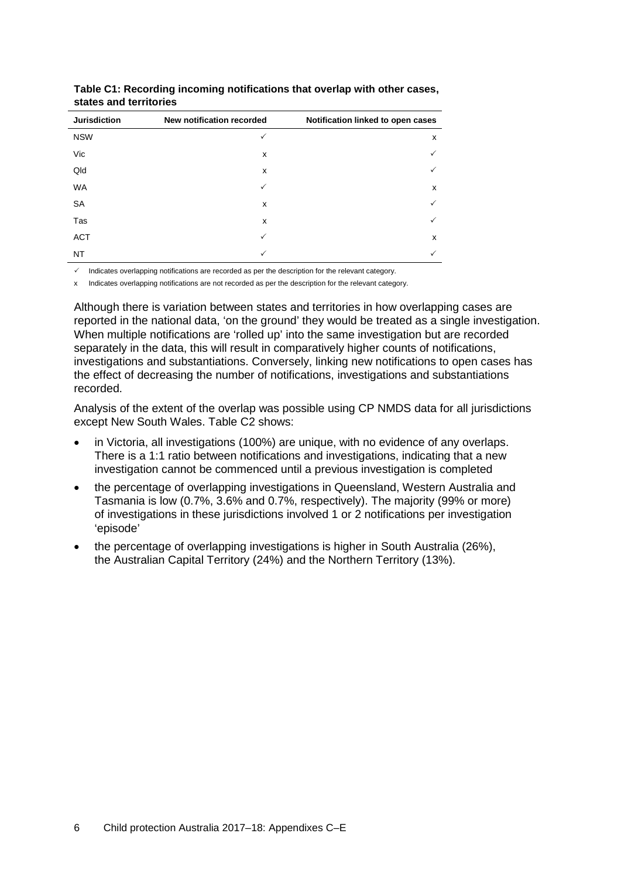| <b>Jurisdiction</b> | New notification recorded | Notification linked to open cases |
|---------------------|---------------------------|-----------------------------------|
| <b>NSW</b>          | $\checkmark$              | х                                 |
| Vic                 | х                         | $\checkmark$                      |
| Qld                 | X                         | $\checkmark$                      |
| WA                  | $\checkmark$              | x                                 |
| <b>SA</b>           | x                         | ✓                                 |
| Tas                 | X                         | $\checkmark$                      |
| <b>ACT</b>          | $\checkmark$              | X                                 |
| <b>NT</b>           | $\checkmark$              | $\checkmark$                      |

**Table C1: Recording incoming notifications that overlap with other cases, states and territories**

 $\checkmark$  Indicates overlapping notifications are recorded as per the description for the relevant category.

x Indicates overlapping notifications are not recorded as per the description for the relevant category.

Although there is variation between states and territories in how overlapping cases are reported in the national data, 'on the ground' they would be treated as a single investigation. When multiple notifications are 'rolled up' into the same investigation but are recorded separately in the data, this will result in comparatively higher counts of notifications, investigations and substantiations. Conversely, linking new notifications to open cases has the effect of decreasing the number of notifications, investigations and substantiations recorded.

Analysis of the extent of the overlap was possible using CP NMDS data for all jurisdictions except New South Wales. Table C2 shows:

- in Victoria, all investigations (100%) are unique, with no evidence of any overlaps. There is a 1:1 ratio between notifications and investigations, indicating that a new investigation cannot be commenced until a previous investigation is completed
- the percentage of overlapping investigations in Queensland, Western Australia and Tasmania is low (0.7%, 3.6% and 0.7%, respectively). The majority (99% or more) of investigations in these jurisdictions involved 1 or 2 notifications per investigation 'episode'
- the percentage of overlapping investigations is higher in South Australia (26%), the Australian Capital Territory (24%) and the Northern Territory (13%).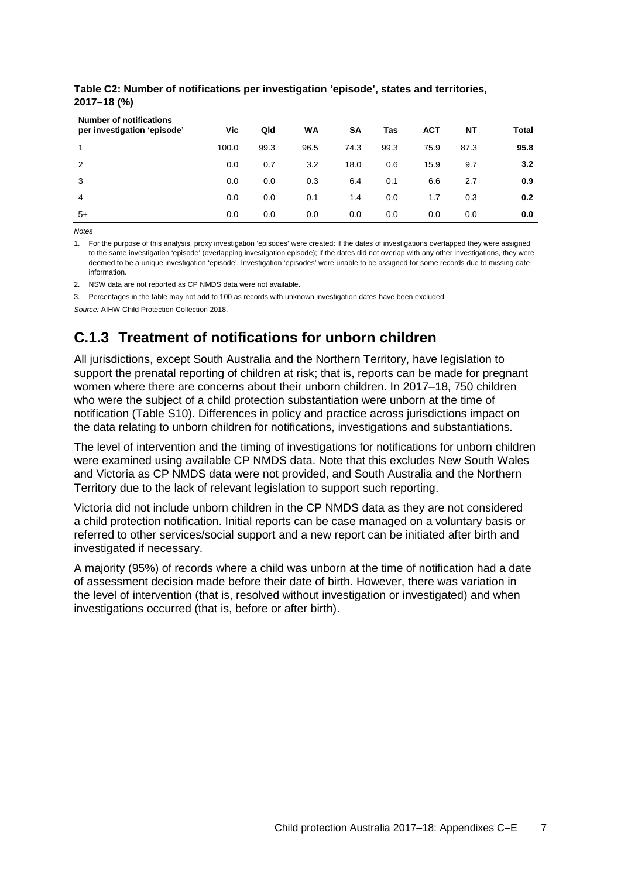| <b>Number of notifications</b><br>per investigation 'episode' | Vic   | Qld  | WA   | <b>SA</b> | Tas  | <b>ACT</b> | NΤ   | <b>Total</b> |
|---------------------------------------------------------------|-------|------|------|-----------|------|------------|------|--------------|
|                                                               | 100.0 | 99.3 | 96.5 | 74.3      | 99.3 | 75.9       | 87.3 | 95.8         |
| 2                                                             | 0.0   | 0.7  | 3.2  | 18.0      | 0.6  | 15.9       | 9.7  | 3.2          |
| 3                                                             | 0.0   | 0.0  | 0.3  | 6.4       | 0.1  | 6.6        | 2.7  | 0.9          |
| 4                                                             | 0.0   | 0.0  | 0.1  | 1.4       | 0.0  | 1.7        | 0.3  | 0.2          |
| $5+$                                                          | 0.0   | 0.0  | 0.0  | 0.0       | 0.0  | 0.0        | 0.0  | 0.0          |

**Table C2: Number of notifications per investigation 'episode', states and territories, 2017–18 (%)**

*Notes*

1. For the purpose of this analysis, proxy investigation 'episodes' were created: if the dates of investigations overlapped they were assigned to the same investigation 'episode' (overlapping investigation episode); if the dates did not overlap with any other investigations, they were deemed to be a unique investigation 'episode'. Investigation 'episodes' were unable to be assigned for some records due to missing date information.

2. NSW data are not reported as CP NMDS data were not available.

3. Percentages in the table may not add to 100 as records with unknown investigation dates have been excluded.

*Source:* AIHW Child Protection Collection 2018.

### **C.1.3 Treatment of notifications for unborn children**

All jurisdictions, except South Australia and the Northern Territory, have legislation to support the prenatal reporting of children at risk; that is, reports can be made for pregnant women where there are concerns about their unborn children. In 2017–18, 750 children who were the subject of a child protection substantiation were unborn at the time of notification (Table S10). Differences in policy and practice across jurisdictions impact on the data relating to unborn children for notifications, investigations and substantiations.

The level of intervention and the timing of investigations for notifications for unborn children were examined using available CP NMDS data. Note that this excludes New South Wales and Victoria as CP NMDS data were not provided, and South Australia and the Northern Territory due to the lack of relevant legislation to support such reporting.

Victoria did not include unborn children in the CP NMDS data as they are not considered a child protection notification. Initial reports can be case managed on a voluntary basis or referred to other services/social support and a new report can be initiated after birth and investigated if necessary.

A majority (95%) of records where a child was unborn at the time of notification had a date of assessment decision made before their date of birth. However, there was variation in the level of intervention (that is, resolved without investigation or investigated) and when investigations occurred (that is, before or after birth).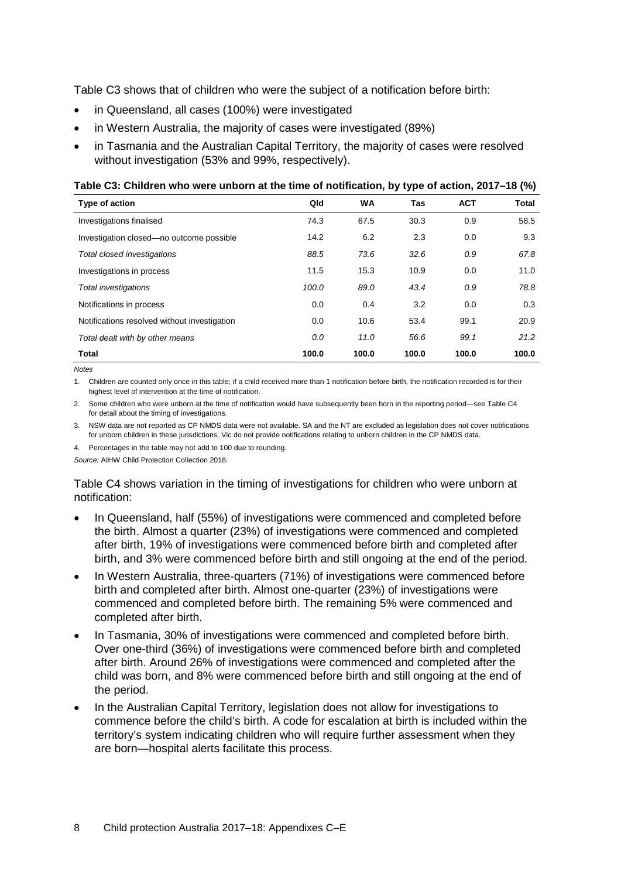Table C3 shows that of children who were the subject of a notification before birth:

- in Queensland, all cases (100%) were investigated
- in Western Australia, the majority of cases were investigated (89%)
- in Tasmania and the Australian Capital Territory, the majority of cases were resolved without investigation (53% and 99%, respectively).

**Table C3: Children who were unborn at the time of notification, by type of action, 2017–18 (%)**

| Type of action                               | Qld   | <b>WA</b> | Tas   | <b>ACT</b> | <b>Total</b> |
|----------------------------------------------|-------|-----------|-------|------------|--------------|
| Investigations finalised                     | 74.3  | 67.5      | 30.3  | 0.9        | 58.5         |
| Investigation closed—no outcome possible     | 14.2  | 6.2       | 2.3   | 0.0        | 9.3          |
| Total closed investigations                  | 88.5  | 73.6      | 32.6  | 0.9        | 67.8         |
| Investigations in process                    | 11.5  | 15.3      | 10.9  | 0.0        | 11.0         |
| Total investigations                         | 100.0 | 89.0      | 43.4  | 0.9        | 78.8         |
| Notifications in process                     | 0.0   | 0.4       | 3.2   | 0.0        | 0.3          |
| Notifications resolved without investigation | 0.0   | 10.6      | 53.4  | 99.1       | 20.9         |
| Total dealt with by other means              | 0.0   | 11.0      | 56.6  | 99.1       | 21.2         |
| Total                                        | 100.0 | 100.0     | 100.0 | 100.0      | 100.0        |

*Notes*

1. Children are counted only once in this table; if a child received more than 1 notification before birth, the notification recorded is for their highest level of intervention at the time of notification.

2. Some children who were unborn at the time of notification would have subsequently been born in the reporting period—see Table C4 for detail about the timing of investigations.

3. NSW data are not reported as CP NMDS data were not available. SA and the NT are excluded as legislation does not cover notifications for unborn children in these jurisdictions. Vic do not provide notifications relating to unborn children in the CP NMDS data.

4. Percentages in the table may not add to 100 due to rounding.

*Source:* AIHW Child Protection Collection 2018.

Table C4 shows variation in the timing of investigations for children who were unborn at notification:

- In Queensland, half (55%) of investigations were commenced and completed before the birth. Almost a quarter (23%) of investigations were commenced and completed after birth, 19% of investigations were commenced before birth and completed after birth, and 3% were commenced before birth and still ongoing at the end of the period.
- In Western Australia, three-quarters (71%) of investigations were commenced before birth and completed after birth. Almost one-quarter (23%) of investigations were commenced and completed before birth. The remaining 5% were commenced and completed after birth.
- In Tasmania, 30% of investigations were commenced and completed before birth. Over one-third (36%) of investigations were commenced before birth and completed after birth. Around 26% of investigations were commenced and completed after the child was born, and 8% were commenced before birth and still ongoing at the end of the period.
- In the Australian Capital Territory, legislation does not allow for investigations to commence before the child's birth. A code for escalation at birth is included within the territory's system indicating children who will require further assessment when they are born—hospital alerts facilitate this process.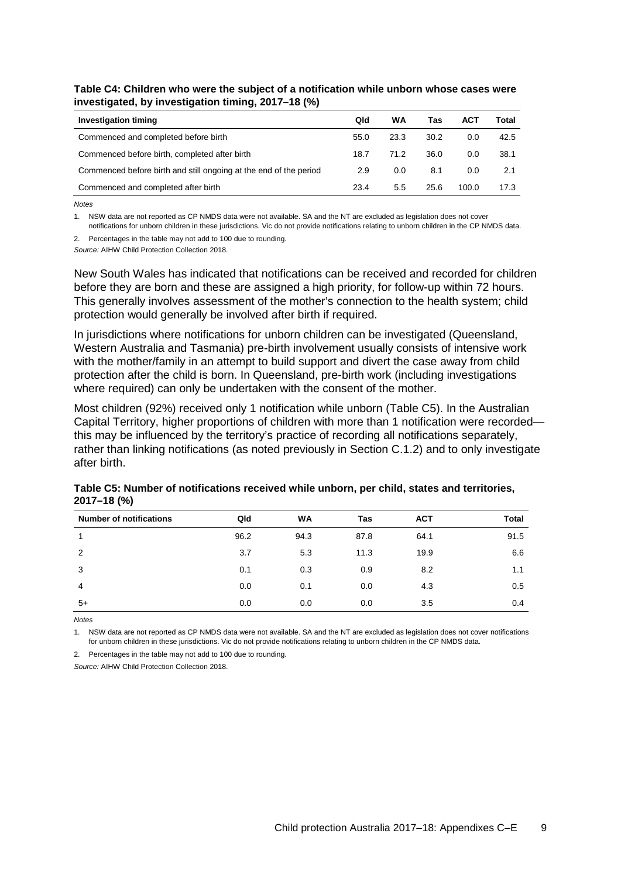**Table C4: Children who were the subject of a notification while unborn whose cases were investigated, by investigation timing, 2017–18 (%)**

| <b>Investigation timing</b>                                       | Qld  | WA   | Tas  | <b>ACT</b> | Total |
|-------------------------------------------------------------------|------|------|------|------------|-------|
| Commenced and completed before birth                              | 55.0 | 23.3 | 30.2 | 0.0        | 42.5  |
| Commenced before birth, completed after birth                     | 18.7 | 71.2 | 36.0 | 0.0        | 38.1  |
| Commenced before birth and still ongoing at the end of the period | 2.9  | 0.0  | 8.1  | 0.0        | 2.1   |
| Commenced and completed after birth                               | 23.4 | 5.5  | 25.6 | 100.0      | 17.3  |

*Notes*

1. NSW data are not reported as CP NMDS data were not available. SA and the NT are excluded as legislation does not cover notifications for unborn children in these jurisdictions. Vic do not provide notifications relating to unborn children in the CP NMDS data.

2. Percentages in the table may not add to 100 due to rounding.

*Source:* AIHW Child Protection Collection 2018.

New South Wales has indicated that notifications can be received and recorded for children before they are born and these are assigned a high priority, for follow-up within 72 hours. This generally involves assessment of the mother's connection to the health system; child protection would generally be involved after birth if required.

In jurisdictions where notifications for unborn children can be investigated (Queensland, Western Australia and Tasmania) pre-birth involvement usually consists of intensive work with the mother/family in an attempt to build support and divert the case away from child protection after the child is born. In Queensland, pre-birth work (including investigations where required) can only be undertaken with the consent of the mother.

Most children (92%) received only 1 notification while unborn (Table C5). In the Australian Capital Territory, higher proportions of children with more than 1 notification were recorded this may be influenced by the territory's practice of recording all notifications separately, rather than linking notifications (as noted previously in Section C.1.2) and to only investigate after birth.

| ----<br>$\cdots$               |      |           |      |            |              |
|--------------------------------|------|-----------|------|------------|--------------|
| <b>Number of notifications</b> | Qld  | <b>WA</b> | Tas  | <b>ACT</b> | <b>Total</b> |
|                                | 96.2 | 94.3      | 87.8 | 64.1       | 91.5         |
| 2                              | 3.7  | 5.3       | 11.3 | 19.9       | 6.6          |
| 3                              | 0.1  | 0.3       | 0.9  | 8.2        | 1.1          |
| 4                              | 0.0  | 0.1       | 0.0  | 4.3        | 0.5          |
| $5+$                           | 0.0  | 0.0       | 0.0  | 3.5        | 0.4          |

**Table C5: Number of notifications received while unborn, per child, states and territories, 2017–18 (%)**

*Notes*

1. NSW data are not reported as CP NMDS data were not available. SA and the NT are excluded as legislation does not cover notifications for unborn children in these jurisdictions. Vic do not provide notifications relating to unborn children in the CP NMDS data.

2. Percentages in the table may not add to 100 due to rounding.

*Source:* AIHW Child Protection Collection 2018.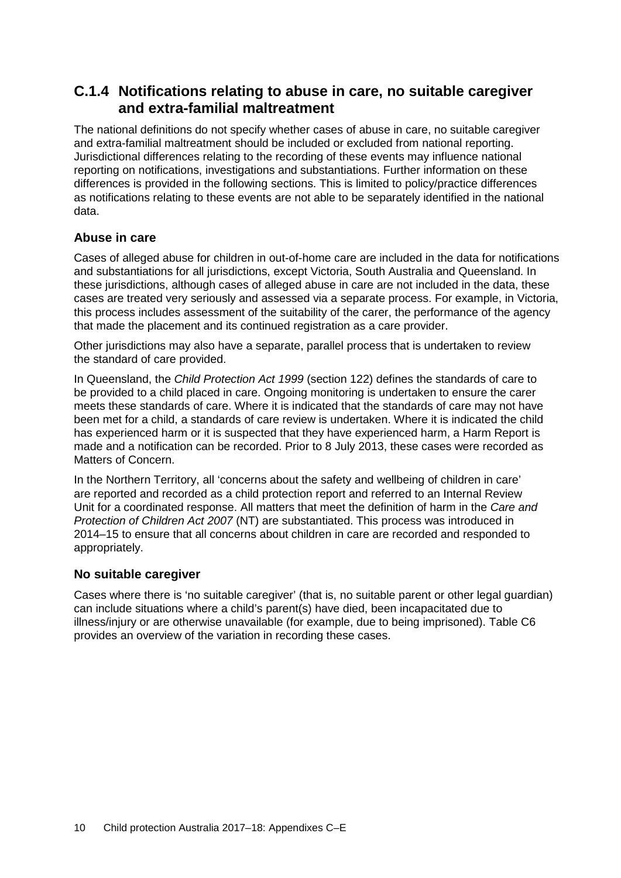### **C.1.4 Notifications relating to abuse in care, no suitable caregiver and extra-familial maltreatment**

The national definitions do not specify whether cases of abuse in care, no suitable caregiver and extra-familial maltreatment should be included or excluded from national reporting. Jurisdictional differences relating to the recording of these events may influence national reporting on notifications, investigations and substantiations. Further information on these differences is provided in the following sections. This is limited to policy/practice differences as notifications relating to these events are not able to be separately identified in the national data.

#### **Abuse in care**

Cases of alleged abuse for children in out-of-home care are included in the data for notifications and substantiations for all jurisdictions, except Victoria, South Australia and Queensland. In these jurisdictions, although cases of alleged abuse in care are not included in the data, these cases are treated very seriously and assessed via a separate process. For example, in Victoria, this process includes assessment of the suitability of the carer, the performance of the agency that made the placement and its continued registration as a care provider.

Other jurisdictions may also have a separate, parallel process that is undertaken to review the standard of care provided.

In Queensland, the *Child Protection Act 1999* (section 122) defines the standards of care to be provided to a child placed in care. Ongoing monitoring is undertaken to ensure the carer meets these standards of care. Where it is indicated that the standards of care may not have been met for a child, a standards of care review is undertaken. Where it is indicated the child has experienced harm or it is suspected that they have experienced harm, a Harm Report is made and a notification can be recorded. Prior to 8 July 2013, these cases were recorded as Matters of Concern.

In the Northern Territory, all 'concerns about the safety and wellbeing of children in care' are reported and recorded as a child protection report and referred to an Internal Review Unit for a coordinated response. All matters that meet the definition of harm in the *Care and Protection of Children Act 2007* (NT) are substantiated. This process was introduced in 2014–15 to ensure that all concerns about children in care are recorded and responded to appropriately.

#### **No suitable caregiver**

Cases where there is 'no suitable caregiver' (that is, no suitable parent or other legal guardian) can include situations where a child's parent(s) have died, been incapacitated due to illness/injury or are otherwise unavailable (for example, due to being imprisoned). Table C6 provides an overview of the variation in recording these cases.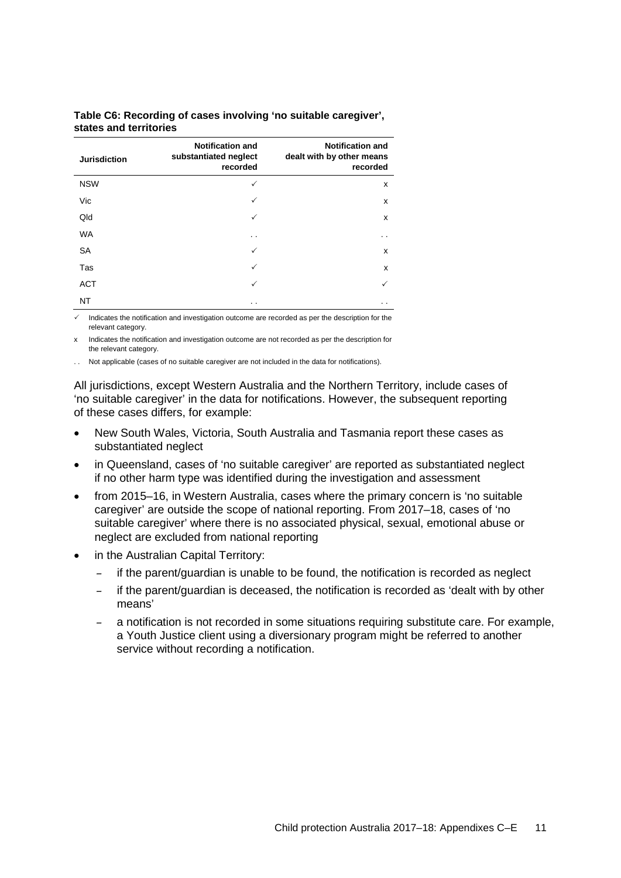| <b>Jurisdiction</b> | <b>Notification and</b><br>substantiated neglect<br>recorded | <b>Notification and</b><br>dealt with by other means<br>recorded |
|---------------------|--------------------------------------------------------------|------------------------------------------------------------------|
| <b>NSW</b>          | ✓                                                            | X                                                                |
| Vic                 | ✓                                                            | x                                                                |
| Qld                 | ✓                                                            | x                                                                |
| <b>WA</b>           | $\cdot$ .                                                    | . .                                                              |
| <b>SA</b>           | ✓                                                            | X                                                                |
| Tas                 | ✓                                                            | X                                                                |
| <b>ACT</b>          | ✓                                                            | ✓                                                                |
| <b>NT</b>           | $\sim$                                                       | . .                                                              |

**Table C6: Recording of cases involving 'no suitable caregiver', states and territories**

 $\checkmark$  Indicates the notification and investigation outcome are recorded as per the description for the relevant category.

x Indicates the notification and investigation outcome are not recorded as per the description for the relevant category.

. . Not applicable (cases of no suitable caregiver are not included in the data for notifications).

All jurisdictions, except Western Australia and the Northern Territory, include cases of 'no suitable caregiver' in the data for notifications. However, the subsequent reporting of these cases differs, for example:

- New South Wales, Victoria, South Australia and Tasmania report these cases as substantiated neglect
- in Queensland, cases of 'no suitable caregiver' are reported as substantiated neglect if no other harm type was identified during the investigation and assessment
- from 2015–16, in Western Australia, cases where the primary concern is 'no suitable caregiver' are outside the scope of national reporting. From 2017–18, cases of 'no suitable caregiver' where there is no associated physical, sexual, emotional abuse or neglect are excluded from national reporting
- in the Australian Capital Territory:
	- if the parent/guardian is unable to be found, the notification is recorded as neglect
	- if the parent/guardian is deceased, the notification is recorded as 'dealt with by other means'
	- a notification is not recorded in some situations requiring substitute care. For example, a Youth Justice client using a diversionary program might be referred to another service without recording a notification.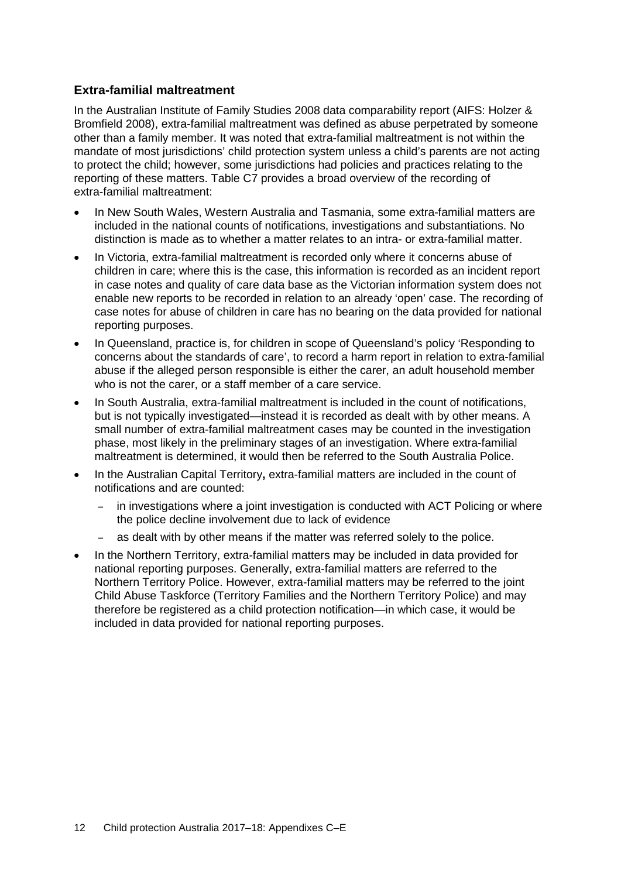#### **Extra-familial maltreatment**

In the Australian Institute of Family Studies 2008 data comparability report (AIFS: Holzer & Bromfield 2008), extra-familial maltreatment was defined as abuse perpetrated by someone other than a family member. It was noted that extra-familial maltreatment is not within the mandate of most jurisdictions' child protection system unless a child's parents are not acting to protect the child; however, some jurisdictions had policies and practices relating to the reporting of these matters. Table C7 provides a broad overview of the recording of extra-familial maltreatment:

- In New South Wales, Western Australia and Tasmania, some extra-familial matters are included in the national counts of notifications, investigations and substantiations. No distinction is made as to whether a matter relates to an intra- or extra-familial matter.
- In Victoria, extra-familial maltreatment is recorded only where it concerns abuse of children in care; where this is the case, this information is recorded as an incident report in case notes and quality of care data base as the Victorian information system does not enable new reports to be recorded in relation to an already 'open' case. The recording of case notes for abuse of children in care has no bearing on the data provided for national reporting purposes.
- In Queensland, practice is, for children in scope of Queensland's policy 'Responding to concerns about the standards of care', to record a harm report in relation to extra-familial abuse if the alleged person responsible is either the carer, an adult household member who is not the carer, or a staff member of a care service.
- In South Australia, extra-familial maltreatment is included in the count of notifications, but is not typically investigated—instead it is recorded as dealt with by other means. A small number of extra-familial maltreatment cases may be counted in the investigation phase, most likely in the preliminary stages of an investigation. Where extra-familial maltreatment is determined, it would then be referred to the South Australia Police.
- In the Australian Capital Territory**,** extra-familial matters are included in the count of notifications and are counted:
	- in investigations where a joint investigation is conducted with ACT Policing or where the police decline involvement due to lack of evidence
	- as dealt with by other means if the matter was referred solely to the police.
- In the Northern Territory, extra-familial matters may be included in data provided for national reporting purposes. Generally, extra-familial matters are referred to the Northern Territory Police. However, extra-familial matters may be referred to the joint Child Abuse Taskforce (Territory Families and the Northern Territory Police) and may therefore be registered as a child protection notification—in which case, it would be included in data provided for national reporting purposes.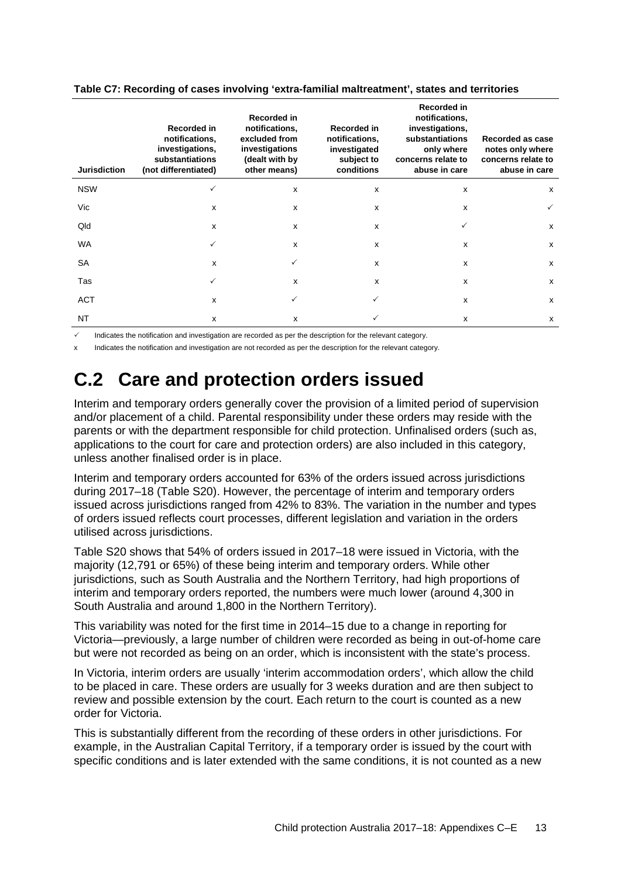| <b>Jurisdiction</b> | Recorded in<br>notifications,<br>investigations,<br>substantiations<br>(not differentiated) | Recorded in<br>notifications,<br>excluded from<br>investigations<br>(dealt with by<br>other means) | Recorded in<br>notifications,<br>investigated<br>subject to<br>conditions | <b>Recorded in</b><br>notifications,<br>investigations,<br>substantiations<br>only where<br>concerns relate to<br>abuse in care | Recorded as case<br>notes only where<br>concerns relate to<br>abuse in care |
|---------------------|---------------------------------------------------------------------------------------------|----------------------------------------------------------------------------------------------------|---------------------------------------------------------------------------|---------------------------------------------------------------------------------------------------------------------------------|-----------------------------------------------------------------------------|
| <b>NSW</b>          |                                                                                             | x                                                                                                  | x                                                                         | X                                                                                                                               | $\mathsf{x}$                                                                |
| Vic                 | X                                                                                           | x                                                                                                  | X                                                                         | X                                                                                                                               |                                                                             |
| Qld                 | X                                                                                           | x                                                                                                  | x                                                                         | ✓                                                                                                                               | X                                                                           |
| WA                  |                                                                                             | X                                                                                                  | x                                                                         | X                                                                                                                               | X                                                                           |
| <b>SA</b>           | x                                                                                           | ✓                                                                                                  | X                                                                         | X                                                                                                                               | $\boldsymbol{\mathsf{x}}$                                                   |
| Tas                 | ✓                                                                                           | X                                                                                                  | X                                                                         | X                                                                                                                               | $\boldsymbol{\mathsf{x}}$                                                   |
| ACT                 | X                                                                                           | ✓                                                                                                  | ✓                                                                         | X                                                                                                                               | $\boldsymbol{\mathsf{x}}$                                                   |
| <b>NT</b>           | x                                                                                           | x                                                                                                  |                                                                           | X                                                                                                                               | $\boldsymbol{\mathsf{x}}$                                                   |

#### **Table C7: Recording of cases involving 'extra-familial maltreatment', states and territories**

Indicates the notification and investigation are recorded as per the description for the relevant category.

<span id="page-16-0"></span>Indicates the notification and investigation are not recorded as per the description for the relevant category.

## **C.2 Care and protection orders issued**

Interim and temporary orders generally cover the provision of a limited period of supervision and/or placement of a child. Parental responsibility under these orders may reside with the parents or with the department responsible for child protection. Unfinalised orders (such as, applications to the court for care and protection orders) are also included in this category, unless another finalised order is in place.

Interim and temporary orders accounted for 63% of the orders issued across jurisdictions during 2017–18 (Table S20). However, the percentage of interim and temporary orders issued across jurisdictions ranged from 42% to 83%. The variation in the number and types of orders issued reflects court processes, different legislation and variation in the orders utilised across jurisdictions.

Table S20 shows that 54% of orders issued in 2017–18 were issued in Victoria, with the majority (12,791 or 65%) of these being interim and temporary orders. While other jurisdictions, such as South Australia and the Northern Territory, had high proportions of interim and temporary orders reported, the numbers were much lower (around 4,300 in South Australia and around 1,800 in the Northern Territory).

This variability was noted for the first time in 2014–15 due to a change in reporting for Victoria—previously, a large number of children were recorded as being in out-of-home care but were not recorded as being on an order, which is inconsistent with the state's process.

In Victoria, interim orders are usually 'interim accommodation orders', which allow the child to be placed in care. These orders are usually for 3 weeks duration and are then subject to review and possible extension by the court. Each return to the court is counted as a new order for Victoria.

This is substantially different from the recording of these orders in other jurisdictions. For example, in the Australian Capital Territory, if a temporary order is issued by the court with specific conditions and is later extended with the same conditions, it is not counted as a new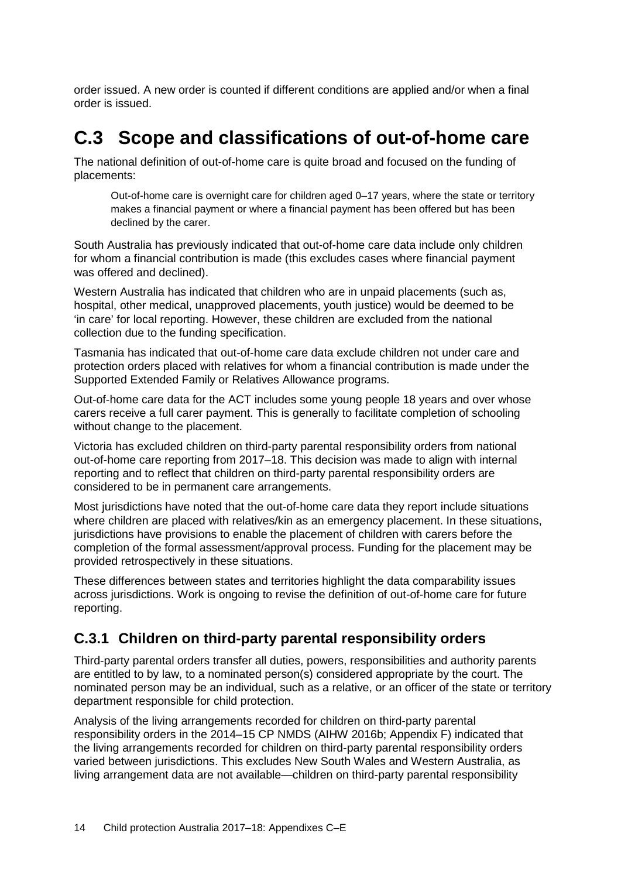order issued. A new order is counted if different conditions are applied and/or when a final order is issued.

## <span id="page-17-0"></span>**C.3 Scope and classifications of out-of-home care**

The national definition of out-of-home care is quite broad and focused on the funding of placements:

Out-of-home care is overnight care for children aged 0–17 years, where the state or territory makes a financial payment or where a financial payment has been offered but has been declined by the carer.

South Australia has previously indicated that out-of-home care data include only children for whom a financial contribution is made (this excludes cases where financial payment was offered and declined).

Western Australia has indicated that children who are in unpaid placements (such as, hospital, other medical, unapproved placements, youth justice) would be deemed to be 'in care' for local reporting. However, these children are excluded from the national collection due to the funding specification.

Tasmania has indicated that out-of-home care data exclude children not under care and protection orders placed with relatives for whom a financial contribution is made under the Supported Extended Family or Relatives Allowance programs.

Out-of-home care data for the ACT includes some young people 18 years and over whose carers receive a full carer payment. This is generally to facilitate completion of schooling without change to the placement.

Victoria has excluded children on third-party parental responsibility orders from national out-of-home care reporting from 2017–18. This decision was made to align with internal reporting and to reflect that children on third-party parental responsibility orders are considered to be in permanent care arrangements.

Most jurisdictions have noted that the out-of-home care data they report include situations where children are placed with relatives/kin as an emergency placement. In these situations, jurisdictions have provisions to enable the placement of children with carers before the completion of the formal assessment/approval process. Funding for the placement may be provided retrospectively in these situations.

These differences between states and territories highlight the data comparability issues across jurisdictions. Work is ongoing to revise the definition of out-of-home care for future reporting.

### **C.3.1 Children on third-party parental responsibility orders**

Third-party parental orders transfer all duties, powers, responsibilities and authority parents are entitled to by law, to a nominated person(s) considered appropriate by the court. The nominated person may be an individual, such as a relative, or an officer of the state or territory department responsible for child protection.

Analysis of the living arrangements recorded for children on third-party parental responsibility orders in the 2014–15 CP NMDS (AIHW 2016b; Appendix F) indicated that the living arrangements recorded for children on third-party parental responsibility orders varied between jurisdictions. This excludes New South Wales and Western Australia, as living arrangement data are not available—children on third-party parental responsibility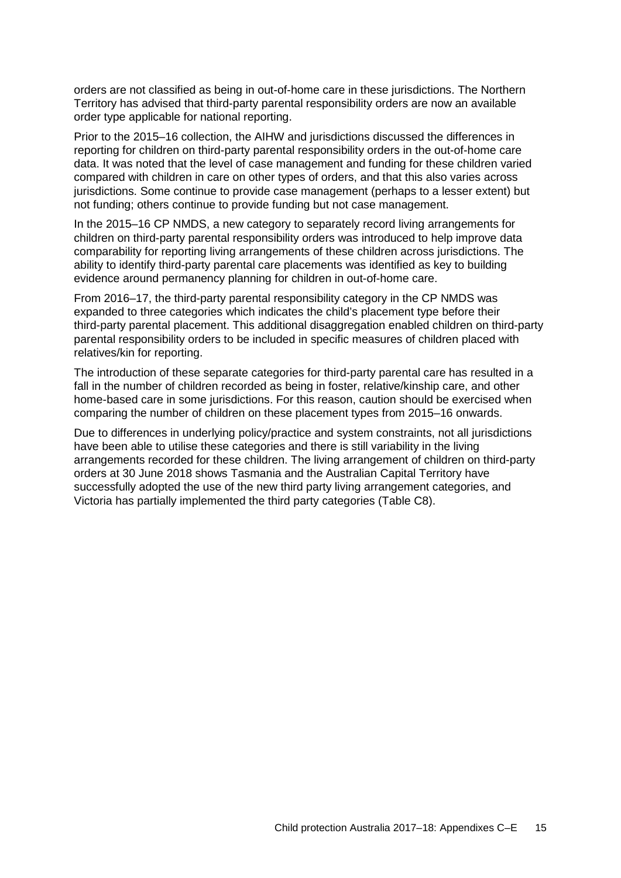orders are not classified as being in out-of-home care in these jurisdictions. The Northern Territory has advised that third-party parental responsibility orders are now an available order type applicable for national reporting.

Prior to the 2015–16 collection, the AIHW and jurisdictions discussed the differences in reporting for children on third-party parental responsibility orders in the out-of-home care data. It was noted that the level of case management and funding for these children varied compared with children in care on other types of orders, and that this also varies across jurisdictions. Some continue to provide case management (perhaps to a lesser extent) but not funding; others continue to provide funding but not case management.

In the 2015–16 CP NMDS, a new category to separately record living arrangements for children on third-party parental responsibility orders was introduced to help improve data comparability for reporting living arrangements of these children across jurisdictions. The ability to identify third-party parental care placements was identified as key to building evidence around permanency planning for children in out-of-home care.

From 2016–17, the third-party parental responsibility category in the CP NMDS was expanded to three categories which indicates the child's placement type before their third-party parental placement. This additional disaggregation enabled children on third-party parental responsibility orders to be included in specific measures of children placed with relatives/kin for reporting.

The introduction of these separate categories for third-party parental care has resulted in a fall in the number of children recorded as being in foster, relative/kinship care, and other home-based care in some jurisdictions. For this reason, caution should be exercised when comparing the number of children on these placement types from 2015–16 onwards.

Due to differences in underlying policy/practice and system constraints, not all jurisdictions have been able to utilise these categories and there is still variability in the living arrangements recorded for these children. The living arrangement of children on third-party orders at 30 June 2018 shows Tasmania and the Australian Capital Territory have successfully adopted the use of the new third party living arrangement categories, and Victoria has partially implemented the third party categories (Table C8).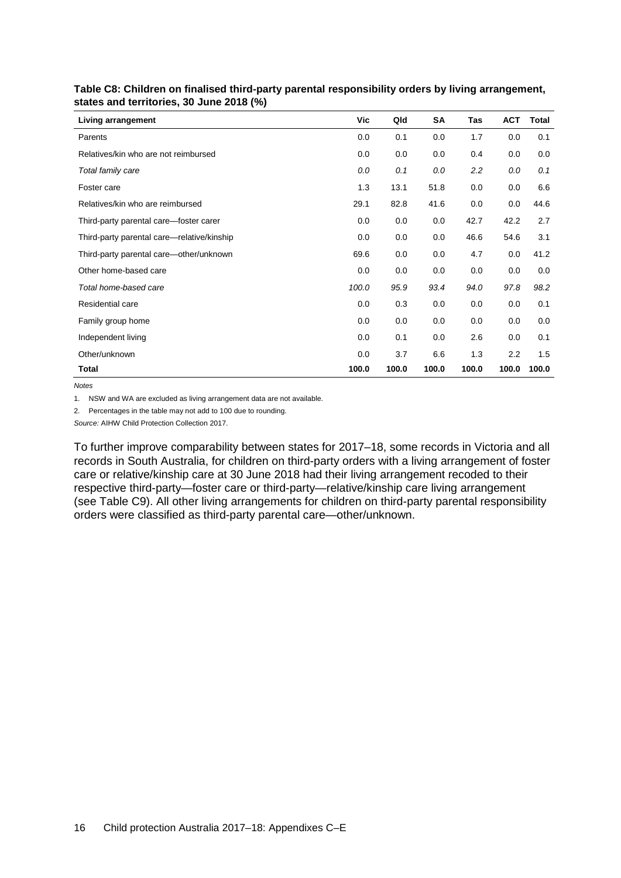| Living arrangement                         | Vic   | Qld   | SA    | Tas   | <b>ACT</b> | Total |
|--------------------------------------------|-------|-------|-------|-------|------------|-------|
| Parents                                    | 0.0   | 0.1   | 0.0   | 1.7   | 0.0        | 0.1   |
| Relatives/kin who are not reimbursed       | 0.0   | 0.0   | 0.0   | 0.4   | 0.0        | 0.0   |
| Total family care                          | 0.0   | 0.1   | 0.0   | 2.2   | 0.0        | 0.1   |
| Foster care                                | 1.3   | 13.1  | 51.8  | 0.0   | 0.0        | 6.6   |
| Relatives/kin who are reimbursed           | 29.1  | 82.8  | 41.6  | 0.0   | 0.0        | 44.6  |
| Third-party parental care-foster carer     | 0.0   | 0.0   | 0.0   | 42.7  | 42.2       | 2.7   |
| Third-party parental care-relative/kinship | 0.0   | 0.0   | 0.0   | 46.6  | 54.6       | 3.1   |
| Third-party parental care-other/unknown    | 69.6  | 0.0   | 0.0   | 4.7   | 0.0        | 41.2  |
| Other home-based care                      | 0.0   | 0.0   | 0.0   | 0.0   | 0.0        | 0.0   |
| Total home-based care                      | 100.0 | 95.9  | 93.4  | 94.0  | 97.8       | 98.2  |
| Residential care                           | 0.0   | 0.3   | 0.0   | 0.0   | 0.0        | 0.1   |
| Family group home                          | 0.0   | 0.0   | 0.0   | 0.0   | 0.0        | 0.0   |
| Independent living                         | 0.0   | 0.1   | 0.0   | 2.6   | 0.0        | 0.1   |
| Other/unknown                              | 0.0   | 3.7   | 6.6   | 1.3   | 2.2        | 1.5   |
| Total                                      | 100.0 | 100.0 | 100.0 | 100.0 | 100.0      | 100.0 |

#### **Table C8: Children on finalised third-party parental responsibility orders by living arrangement, states and territories, 30 June 2018 (%)**

*Notes*

1. NSW and WA are excluded as living arrangement data are not available.

2. Percentages in the table may not add to 100 due to rounding.

*Source:* AIHW Child Protection Collection 2017.

To further improve comparability between states for 2017–18, some records in Victoria and all records in South Australia, for children on third-party orders with a living arrangement of foster care or relative/kinship care at 30 June 2018 had their living arrangement recoded to their respective third-party—foster care or third-party—relative/kinship care living arrangement (see Table C9). All other living arrangements for children on third-party parental responsibility orders were classified as third-party parental care—other/unknown.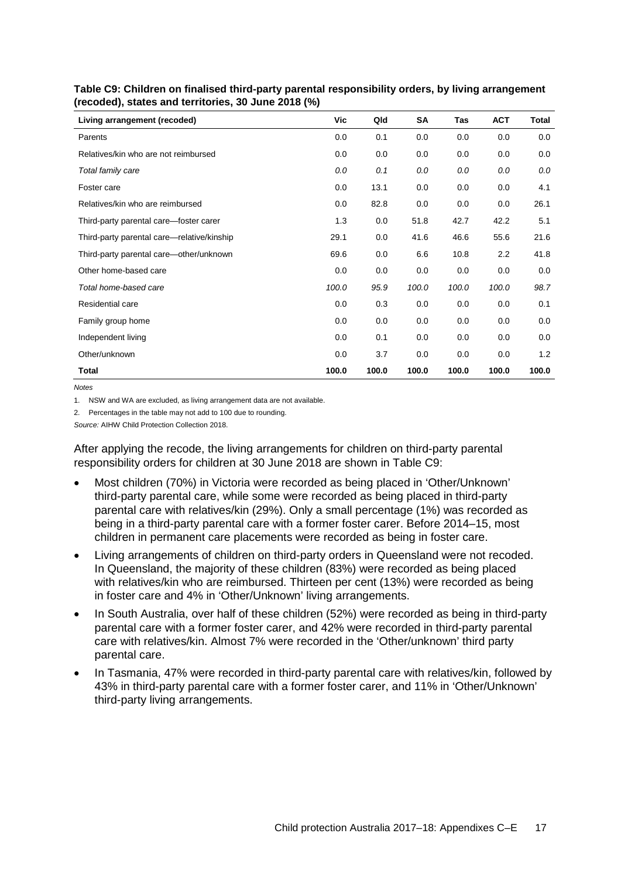| Living arrangement (recoded)               | Vic   | Qld   | SA    | Tas   | <b>ACT</b> | <b>Total</b> |
|--------------------------------------------|-------|-------|-------|-------|------------|--------------|
| Parents                                    | 0.0   | 0.1   | 0.0   | 0.0   | 0.0        | 0.0          |
| Relatives/kin who are not reimbursed       | 0.0   | 0.0   | 0.0   | 0.0   | 0.0        | 0.0          |
| Total family care                          | 0.0   | 0.1   | 0.0   | 0.0   | 0.0        | 0.0          |
| Foster care                                | 0.0   | 13.1  | 0.0   | 0.0   | 0.0        | 4.1          |
| Relatives/kin who are reimbursed           | 0.0   | 82.8  | 0.0   | 0.0   | 0.0        | 26.1         |
| Third-party parental care-foster carer     | 1.3   | 0.0   | 51.8  | 42.7  | 42.2       | 5.1          |
| Third-party parental care-relative/kinship | 29.1  | 0.0   | 41.6  | 46.6  | 55.6       | 21.6         |
| Third-party parental care-other/unknown    | 69.6  | 0.0   | 6.6   | 10.8  | 2.2        | 41.8         |
| Other home-based care                      | 0.0   | 0.0   | 0.0   | 0.0   | 0.0        | 0.0          |
| Total home-based care                      | 100.0 | 95.9  | 100.0 | 100.0 | 100.0      | 98.7         |
| <b>Residential care</b>                    | 0.0   | 0.3   | 0.0   | 0.0   | 0.0        | 0.1          |
| Family group home                          | 0.0   | 0.0   | 0.0   | 0.0   | 0.0        | 0.0          |
| Independent living                         | 0.0   | 0.1   | 0.0   | 0.0   | 0.0        | 0.0          |
| Other/unknown                              | 0.0   | 3.7   | 0.0   | 0.0   | 0.0        | 1.2          |
| <b>Total</b>                               | 100.0 | 100.0 | 100.0 | 100.0 | 100.0      | 100.0        |

**Table C9: Children on finalised third-party parental responsibility orders, by living arrangement (recoded), states and territories, 30 June 2018 (%)**

*Notes*

1. NSW and WA are excluded, as living arrangement data are not available.

2. Percentages in the table may not add to 100 due to rounding.

*Source:* AIHW Child Protection Collection 2018.

After applying the recode, the living arrangements for children on third-party parental responsibility orders for children at 30 June 2018 are shown in Table C9:

- Most children (70%) in Victoria were recorded as being placed in 'Other/Unknown' third-party parental care, while some were recorded as being placed in third-party parental care with relatives/kin (29%). Only a small percentage (1%) was recorded as being in a third-party parental care with a former foster carer. Before 2014–15, most children in permanent care placements were recorded as being in foster care.
- Living arrangements of children on third-party orders in Queensland were not recoded. In Queensland, the majority of these children (83%) were recorded as being placed with relatives/kin who are reimbursed. Thirteen per cent (13%) were recorded as being in foster care and 4% in 'Other/Unknown' living arrangements.
- In South Australia, over half of these children (52%) were recorded as being in third-party parental care with a former foster carer, and 42% were recorded in third-party parental care with relatives/kin. Almost 7% were recorded in the 'Other/unknown' third party parental care.
- In Tasmania, 47% were recorded in third-party parental care with relatives/kin, followed by 43% in third-party parental care with a former foster carer, and 11% in 'Other/Unknown' third-party living arrangements.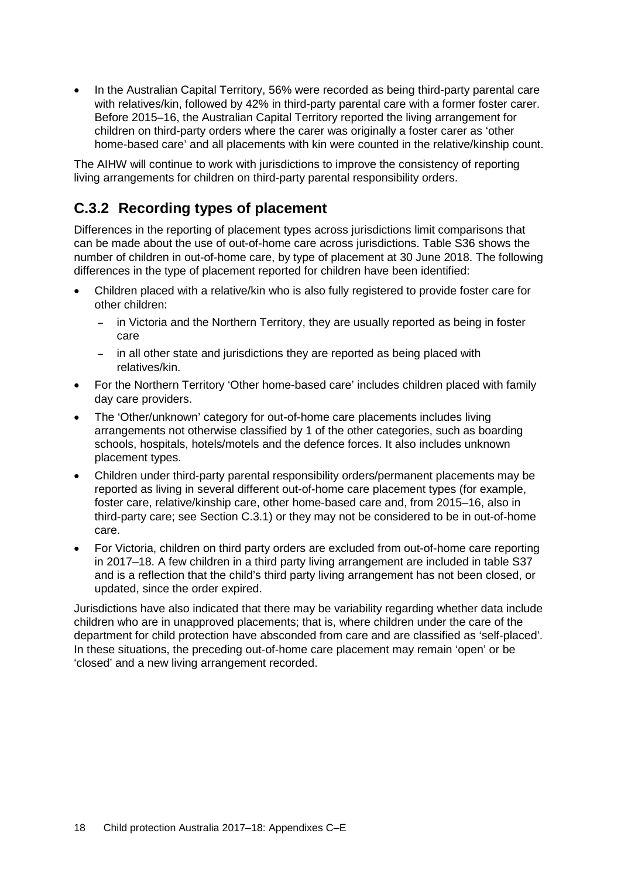• In the Australian Capital Territory, 56% were recorded as being third-party parental care with relatives/kin, followed by 42% in third-party parental care with a former foster carer. Before 2015–16, the Australian Capital Territory reported the living arrangement for children on third-party orders where the carer was originally a foster carer as 'other home-based care' and all placements with kin were counted in the relative/kinship count.

The AIHW will continue to work with jurisdictions to improve the consistency of reporting living arrangements for children on third-party parental responsibility orders.

### **C.3.2 Recording types of placement**

Differences in the reporting of placement types across jurisdictions limit comparisons that can be made about the use of out-of-home care across jurisdictions. Table S36 shows the number of children in out-of-home care, by type of placement at 30 June 2018. The following differences in the type of placement reported for children have been identified:

- Children placed with a relative/kin who is also fully registered to provide foster care for other children:
	- in Victoria and the Northern Territory, they are usually reported as being in foster care
	- in all other state and jurisdictions they are reported as being placed with relatives/kin.
- For the Northern Territory 'Other home-based care' includes children placed with family day care providers.
- The 'Other/unknown' category for out-of-home care placements includes living arrangements not otherwise classified by 1 of the other categories, such as boarding schools, hospitals, hotels/motels and the defence forces. It also includes unknown placement types.
- Children under third-party parental responsibility orders/permanent placements may be reported as living in several different out-of-home care placement types (for example, foster care, relative/kinship care, other home-based care and, from 2015–16, also in third-party care; see Section C.3.1) or they may not be considered to be in out-of-home care.
- For Victoria, children on third party orders are excluded from out-of-home care reporting in 2017–18. A few children in a third party living arrangement are included in table S37 and is a reflection that the child's third party living arrangement has not been closed, or updated, since the order expired.

Jurisdictions have also indicated that there may be variability regarding whether data include children who are in unapproved placements; that is, where children under the care of the department for child protection have absconded from care and are classified as 'self-placed'. In these situations, the preceding out-of-home care placement may remain 'open' or be 'closed' and a new living arrangement recorded.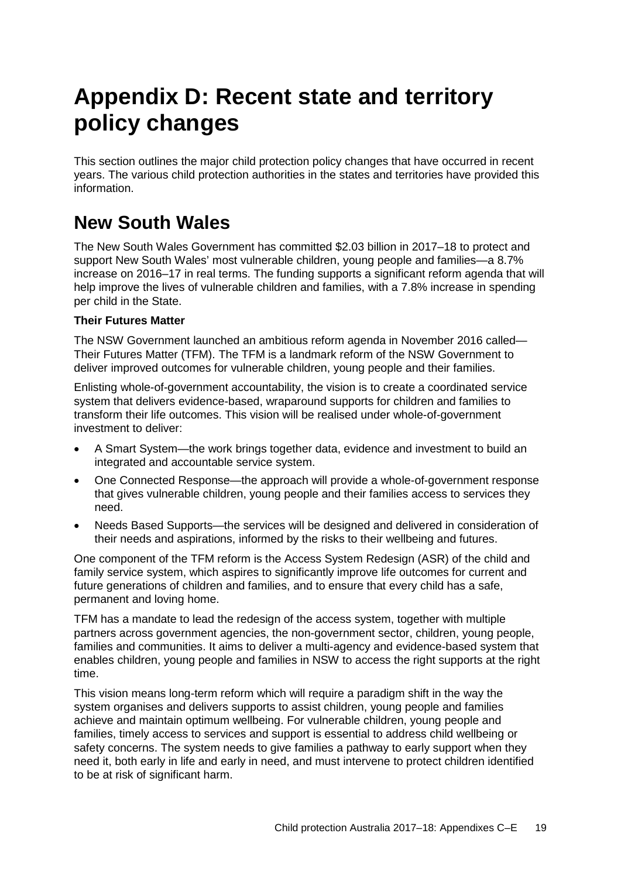# <span id="page-22-0"></span>**Appendix D: Recent state and territory policy changes**

This section outlines the major child protection policy changes that have occurred in recent years. The various child protection authorities in the states and territories have provided this information.

## <span id="page-22-1"></span>**New South Wales**

The New South Wales Government has committed \$2.03 billion in 2017–18 to protect and support New South Wales' most vulnerable children, young people and families—a 8.7% increase on 2016–17 in real terms. The funding supports a significant reform agenda that will help improve the lives of vulnerable children and families, with a 7.8% increase in spending per child in the State.

#### **Their Futures Matter**

The NSW Government launched an ambitious reform agenda in November 2016 called— Their Futures Matter (TFM). The TFM is a landmark reform of the NSW Government to deliver improved outcomes for vulnerable children, young people and their families.

Enlisting whole-of-government accountability, the vision is to create a coordinated service system that delivers evidence-based, wraparound supports for children and families to transform their life outcomes. This vision will be realised under whole-of-government investment to deliver:

- A Smart System—the work brings together data, evidence and investment to build an integrated and accountable service system.
- One Connected Response—the approach will provide a whole-of-government response that gives vulnerable children, young people and their families access to services they need.
- Needs Based Supports—the services will be designed and delivered in consideration of their needs and aspirations, informed by the risks to their wellbeing and futures.

One component of the TFM reform is the Access System Redesign (ASR) of the child and family service system, which aspires to significantly improve life outcomes for current and future generations of children and families, and to ensure that every child has a safe, permanent and loving home.

TFM has a mandate to lead the redesign of the access system, together with multiple partners across government agencies, the non-government sector, children, young people, families and communities. It aims to deliver a multi-agency and evidence-based system that enables children, young people and families in NSW to access the right supports at the right time.

This vision means long-term reform which will require a paradigm shift in the way the system organises and delivers supports to assist children, young people and families achieve and maintain optimum wellbeing. For vulnerable children, young people and families, timely access to services and support is essential to address child wellbeing or safety concerns. The system needs to give families a pathway to early support when they need it, both early in life and early in need, and must intervene to protect children identified to be at risk of significant harm.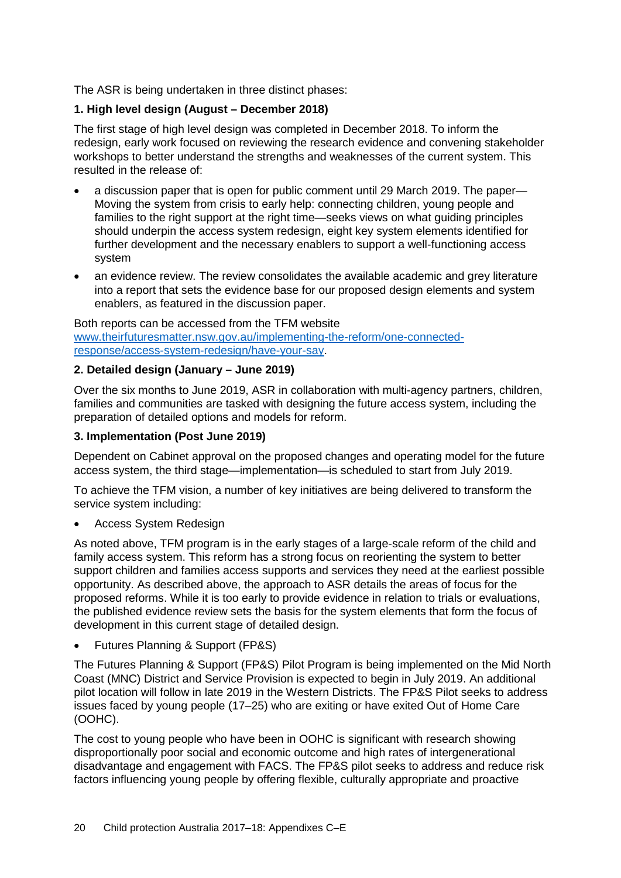The ASR is being undertaken in three distinct phases:

#### **1. High level design (August – December 2018)**

The first stage of high level design was completed in December 2018. To inform the redesign, early work focused on reviewing the research evidence and convening stakeholder workshops to better understand the strengths and weaknesses of the current system. This resulted in the release of:

- a discussion paper that is open for public comment until 29 March 2019. The paper— Moving the system from crisis to early help: connecting children, young people and families to the right support at the right time—seeks views on what guiding principles should underpin the access system redesign, eight key system elements identified for further development and the necessary enablers to support a well-functioning access system
- an evidence review. The review consolidates the available academic and grey literature into a report that sets the evidence base for our proposed design elements and system enablers, as featured in the discussion paper.

Both reports can be accessed from the TFM website [www.theirfuturesmatter.nsw.gov.au/implementing-the-reform/one-connected](www.theirfuturesmatter.nsw.gov.au/implementing-the-reform/one-connected-response/access-system-redesign/have-your-say)[response/access-system-redesign/have-your-say.](www.theirfuturesmatter.nsw.gov.au/implementing-the-reform/one-connected-response/access-system-redesign/have-your-say)

#### **2. Detailed design (January – June 2019)**

Over the six months to June 2019, ASR in collaboration with multi-agency partners, children, families and communities are tasked with designing the future access system, including the preparation of detailed options and models for reform.

#### **3. Implementation (Post June 2019)**

Dependent on Cabinet approval on the proposed changes and operating model for the future access system, the third stage—implementation—is scheduled to start from July 2019.

To achieve the TFM vision, a number of key initiatives are being delivered to transform the service system including:

• Access System Redesign

As noted above, TFM program is in the early stages of a large-scale reform of the child and family access system. This reform has a strong focus on reorienting the system to better support children and families access supports and services they need at the earliest possible opportunity. As described above, the approach to ASR details the areas of focus for the proposed reforms. While it is too early to provide evidence in relation to trials or evaluations, the published evidence review sets the basis for the system elements that form the focus of development in this current stage of detailed design.

• Futures Planning & Support (FP&S)

The Futures Planning & Support (FP&S) Pilot Program is being implemented on the Mid North Coast (MNC) District and Service Provision is expected to begin in July 2019. An additional pilot location will follow in late 2019 in the Western Districts. The FP&S Pilot seeks to address issues faced by young people (17–25) who are exiting or have exited Out of Home Care (OOHC).

The cost to young people who have been in OOHC is significant with research showing disproportionally poor social and economic outcome and high rates of intergenerational disadvantage and engagement with FACS. The FP&S pilot seeks to address and reduce risk factors influencing young people by offering flexible, culturally appropriate and proactive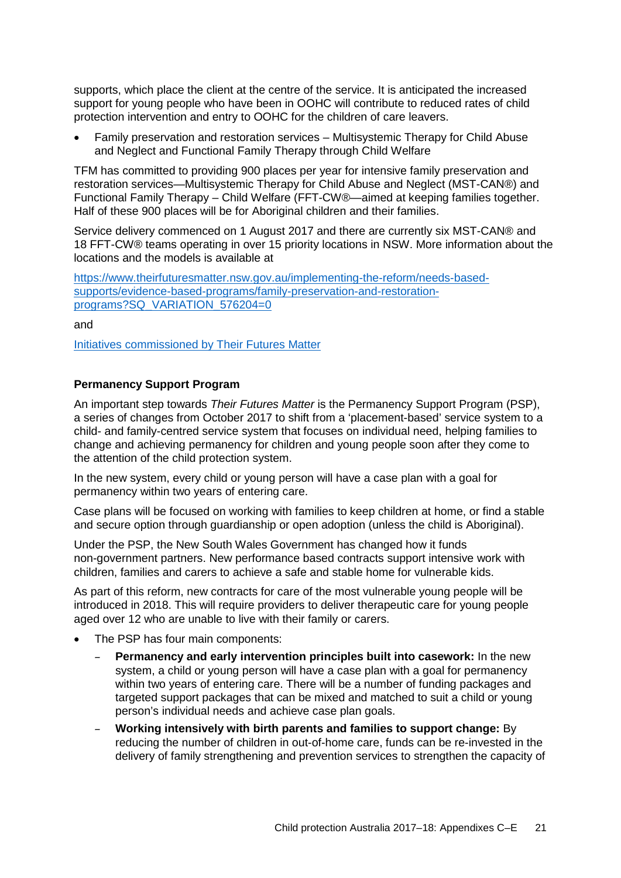supports, which place the client at the centre of the service. It is anticipated the increased support for young people who have been in OOHC will contribute to reduced rates of child protection intervention and entry to OOHC for the children of care leavers.

• Family preservation and restoration services – Multisystemic Therapy for Child Abuse and Neglect and Functional Family Therapy through Child Welfare

TFM has committed to providing 900 places per year for intensive family preservation and restoration services—Multisystemic Therapy for Child Abuse and Neglect (MST-CAN®) and Functional Family Therapy – Child Welfare (FFT-CW®—aimed at keeping families together. Half of these 900 places will be for Aboriginal children and their families.

Service delivery commenced on 1 August 2017 and there are currently six MST-CAN® and 18 FFT-CW® teams operating in over 15 priority locations in NSW. More information about the locations and the models is available at

[https://www.theirfuturesmatter.nsw.gov.au/implementing-the-reform/needs-based](https://www.theirfuturesmatter.nsw.gov.au/implementing-the-reform/needs-based-supports/evidence-based-programs/family-preservation-and-restoration-programs?SQ_VARIATION_576204=0)[supports/evidence-based-programs/family-preservation-and-restoration](https://www.theirfuturesmatter.nsw.gov.au/implementing-the-reform/needs-based-supports/evidence-based-programs/family-preservation-and-restoration-programs?SQ_VARIATION_576204=0)[programs?SQ\\_VARIATION\\_576204=0](https://www.theirfuturesmatter.nsw.gov.au/implementing-the-reform/needs-based-supports/evidence-based-programs/family-preservation-and-restoration-programs?SQ_VARIATION_576204=0)

and

[Initiatives commissioned by Their Futures Matter](http://www.theirfuturesmatter.nsw.gov.au/__data/assets/pdf_file/0005/632480/TFM_Initiatives14.pdf)

#### **Permanency Support Program**

An important step towards *Their Futures Matter* is the Permanency Support Program (PSP), a series of changes from October 2017 to shift from a 'placement-based' service system to a child- and family-centred service system that focuses on individual need, helping families to change and achieving permanency for children and young people soon after they come to the attention of the child protection system.

In the new system, every child or young person will have a case plan with a goal for permanency within two years of entering care.

Case plans will be focused on working with families to keep children at home, or find a stable and secure option through guardianship or open adoption (unless the child is Aboriginal).

Under the PSP, the New South Wales Government has changed how it funds non-government partners. New performance based contracts support intensive work with children, families and carers to achieve a safe and stable home for vulnerable kids.

As part of this reform, new contracts for care of the most vulnerable young people will be introduced in 2018. This will require providers to deliver therapeutic care for young people aged over 12 who are unable to live with their family or carers.

- The PSP has four main components:
	- **Permanency and early intervention principles built into casework:** In the new system, a child or young person will have a case plan with a goal for permanency within two years of entering care. There will be a number of funding packages and targeted support packages that can be mixed and matched to suit a child or young person's individual needs and achieve case plan goals.
	- **Working intensively with birth parents and families to support change:** By reducing the number of children in out-of-home care, funds can be re-invested in the delivery of family strengthening and prevention services to strengthen the capacity of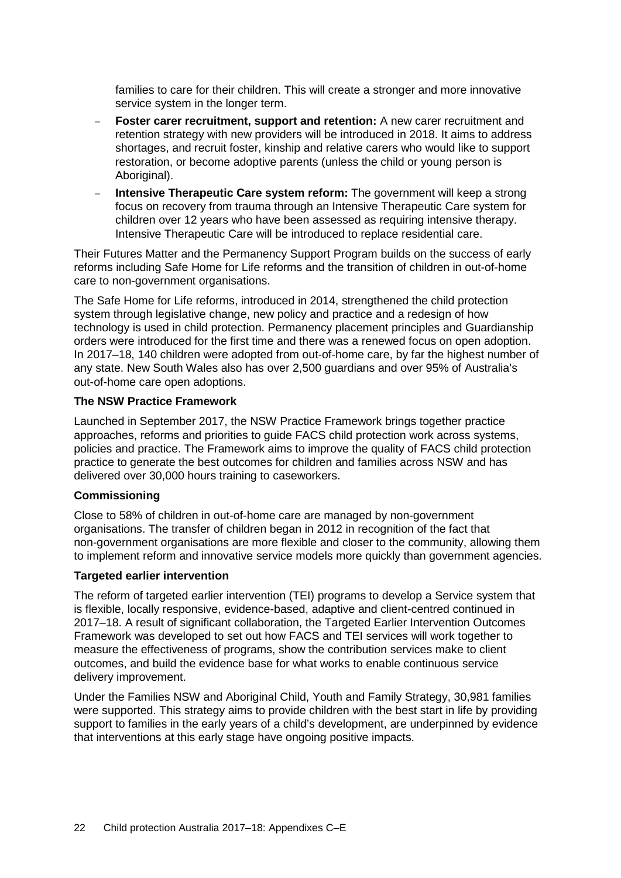families to care for their children. This will create a stronger and more innovative service system in the longer term.

- **Foster carer recruitment, support and retention:** A new carer recruitment and retention strategy with new providers will be introduced in 2018. It aims to address shortages, and recruit foster, kinship and relative carers who would like to support restoration, or become adoptive parents (unless the child or young person is Aboriginal).
- **Intensive Therapeutic Care system reform:** The government will keep a strong focus on recovery from trauma through an Intensive Therapeutic Care system for children over 12 years who have been assessed as requiring intensive therapy. Intensive Therapeutic Care will be introduced to replace residential care.

Their Futures Matter and the Permanency Support Program builds on the success of early reforms including Safe Home for Life reforms and the transition of children in out-of-home care to non-government organisations.

The Safe Home for Life reforms, introduced in 2014, strengthened the child protection system through legislative change, new policy and practice and a redesign of how technology is used in child protection. Permanency placement principles and Guardianship orders were introduced for the first time and there was a renewed focus on open adoption. In 2017–18, 140 children were adopted from out-of-home care, by far the highest number of any state. New South Wales also has over 2,500 guardians and over 95% of Australia's out-of-home care open adoptions.

#### **The NSW Practice Framework**

Launched in September 2017, the NSW Practice Framework brings together practice approaches, reforms and priorities to guide FACS child protection work across systems, policies and practice. The Framework aims to improve the quality of FACS child protection practice to generate the best outcomes for children and families across NSW and has delivered over 30,000 hours training to caseworkers.

#### **Commissioning**

Close to 58% of children in out-of-home care are managed by non-government organisations. The transfer of children began in 2012 in recognition of the fact that non-government organisations are more flexible and closer to the community, allowing them to implement reform and innovative service models more quickly than government agencies.

#### **Targeted earlier intervention**

The reform of targeted earlier intervention (TEI) programs to develop a Service system that is flexible, locally responsive, evidence-based, adaptive and client-centred continued in 2017–18. A result of significant collaboration, the Targeted Earlier Intervention Outcomes Framework was developed to set out how FACS and TEI services will work together to measure the effectiveness of programs, show the contribution services make to client outcomes, and build the evidence base for what works to enable continuous service delivery improvement.

Under the Families NSW and Aboriginal Child, Youth and Family Strategy, 30,981 families were supported. This strategy aims to provide children with the best start in life by providing support to families in the early years of a child's development, are underpinned by evidence that interventions at this early stage have ongoing positive impacts.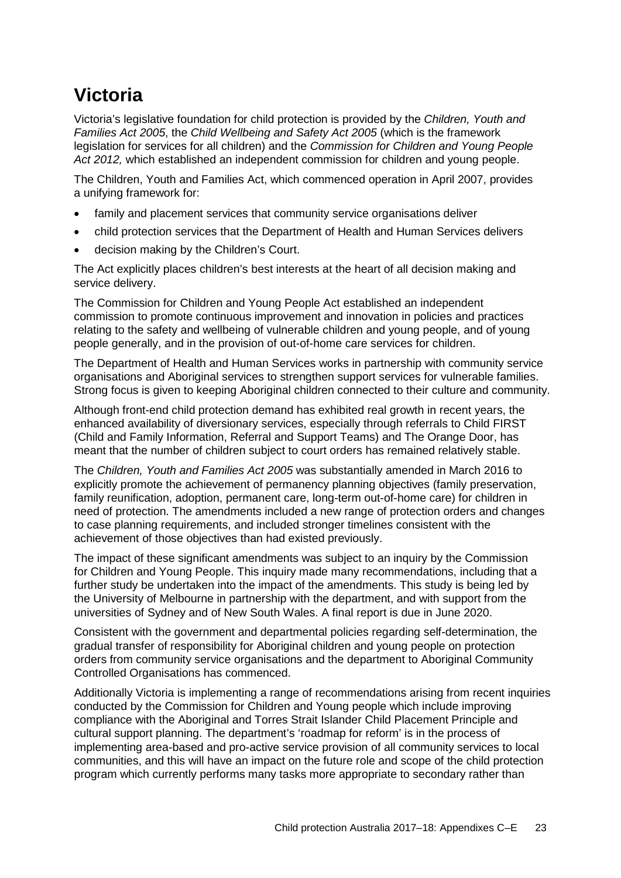## <span id="page-26-0"></span>**Victoria**

Victoria's legislative foundation for child protection is provided by the *Children, Youth and Families Act 2005*, the *Child Wellbeing and Safety Act 2005* (which is the framework legislation for services for all children) and the *Commission for Children and Young People Act 2012,* which established an independent commission for children and young people.

The Children, Youth and Families Act, which commenced operation in April 2007, provides a unifying framework for:

- family and placement services that community service organisations deliver
- child protection services that the Department of Health and Human Services delivers
- decision making by the Children's Court.

The Act explicitly places children's best interests at the heart of all decision making and service delivery.

The Commission for Children and Young People Act established an independent commission to promote continuous improvement and innovation in policies and practices relating to the safety and wellbeing of vulnerable children and young people, and of young people generally, and in the provision of out-of-home care services for children.

The Department of Health and Human Services works in partnership with community service organisations and Aboriginal services to strengthen support services for vulnerable families. Strong focus is given to keeping Aboriginal children connected to their culture and community.

Although front-end child protection demand has exhibited real growth in recent years, the enhanced availability of diversionary services, especially through referrals to Child FIRST (Child and Family Information, Referral and Support Teams) and The Orange Door, has meant that the number of children subject to court orders has remained relatively stable.

The *Children, Youth and Families Act 2005* was substantially amended in March 2016 to explicitly promote the achievement of permanency planning objectives (family preservation, family reunification, adoption, permanent care, long-term out-of-home care) for children in need of protection. The amendments included a new range of protection orders and changes to case planning requirements, and included stronger timelines consistent with the achievement of those objectives than had existed previously.

The impact of these significant amendments was subject to an inquiry by the Commission for Children and Young People. This inquiry made many recommendations, including that a further study be undertaken into the impact of the amendments. This study is being led by the University of Melbourne in partnership with the department, and with support from the universities of Sydney and of New South Wales. A final report is due in June 2020.

Consistent with the government and departmental policies regarding self-determination, the gradual transfer of responsibility for Aboriginal children and young people on protection orders from community service organisations and the department to Aboriginal Community Controlled Organisations has commenced.

Additionally Victoria is implementing a range of recommendations arising from recent inquiries conducted by the Commission for Children and Young people which include improving compliance with the Aboriginal and Torres Strait Islander Child Placement Principle and cultural support planning. The department's 'roadmap for reform' is in the process of implementing area-based and pro-active service provision of all community services to local communities, and this will have an impact on the future role and scope of the child protection program which currently performs many tasks more appropriate to secondary rather than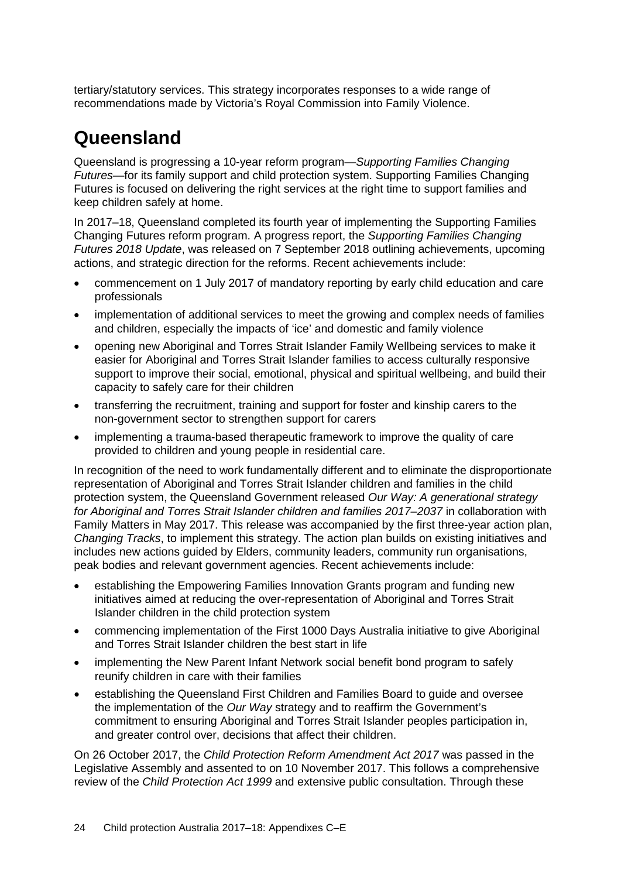tertiary/statutory services. This strategy incorporates responses to a wide range of recommendations made by Victoria's Royal Commission into Family Violence.

## <span id="page-27-0"></span>**Queensland**

Queensland is progressing a 10-year reform program—*Supporting Families Changing Futures*—for its family support and child protection system. Supporting Families Changing Futures is focused on delivering the right services at the right time to support families and keep children safely at home.

In 2017–18, Queensland completed its fourth year of implementing the Supporting Families Changing Futures reform program. A progress report, the *Supporting Families Changing Futures 2018 Update*, was released on 7 September 2018 outlining achievements, upcoming actions, and strategic direction for the reforms. Recent achievements include:

- commencement on 1 July 2017 of mandatory reporting by early child education and care professionals
- implementation of additional services to meet the growing and complex needs of families and children, especially the impacts of 'ice' and domestic and family violence
- opening new Aboriginal and Torres Strait Islander Family Wellbeing services to make it easier for Aboriginal and Torres Strait Islander families to access culturally responsive support to improve their social, emotional, physical and spiritual wellbeing, and build their capacity to safely care for their children
- transferring the recruitment, training and support for foster and kinship carers to the non-government sector to strengthen support for carers
- implementing a trauma-based therapeutic framework to improve the quality of care provided to children and young people in residential care.

In recognition of the need to work fundamentally different and to eliminate the disproportionate representation of Aboriginal and Torres Strait Islander children and families in the child protection system, the Queensland Government released *Our Way: A generational strategy for Aboriginal and Torres Strait Islander children and families 2017–2037* in collaboration with Family Matters in May 2017. This release was accompanied by the first three-year action plan, *Changing Tracks*, to implement this strategy. The action plan builds on existing initiatives and includes new actions guided by Elders, community leaders, community run organisations, peak bodies and relevant government agencies. Recent achievements include:

- establishing the Empowering Families Innovation Grants program and funding new initiatives aimed at reducing the over-representation of Aboriginal and Torres Strait Islander children in the child protection system
- commencing implementation of the First 1000 Days Australia initiative to give Aboriginal and Torres Strait Islander children the best start in life
- implementing the New Parent Infant Network social benefit bond program to safely reunify children in care with their families
- establishing the Queensland First Children and Families Board to guide and oversee the implementation of the *Our Way* strategy and to reaffirm the Government's commitment to ensuring Aboriginal and Torres Strait Islander peoples participation in, and greater control over, decisions that affect their children.

On 26 October 2017, the *Child Protection Reform Amendment Act 2017* was passed in the Legislative Assembly and assented to on 10 November 2017. This follows a comprehensive review of the *Child Protection Act 1999* and extensive public consultation. Through these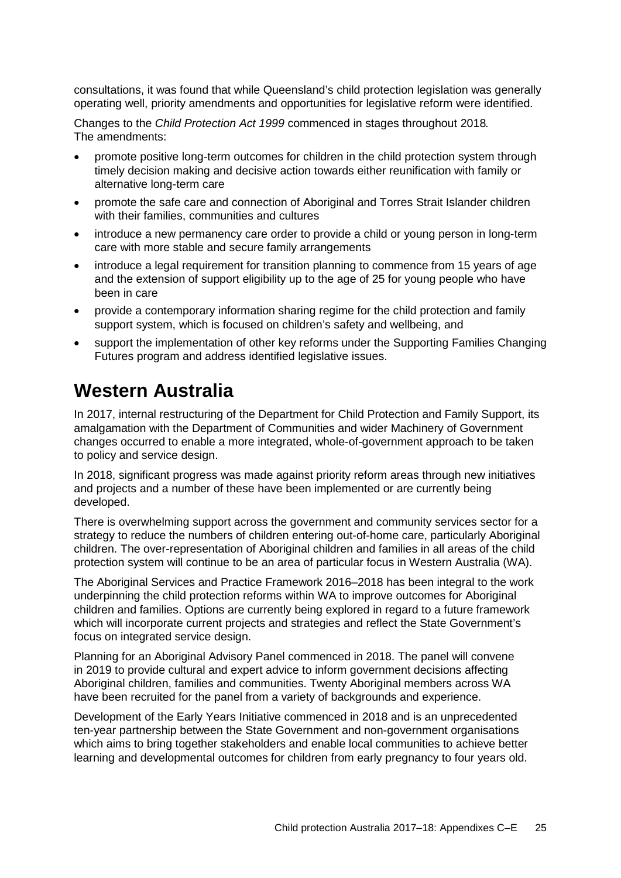consultations, it was found that while Queensland's child protection legislation was generally operating well, priority amendments and opportunities for legislative reform were identified.

Changes to the *Child Protection Act 1999* commenced in stages throughout 2018*.*  The amendments:

- promote positive long-term outcomes for children in the child protection system through timely decision making and decisive action towards either reunification with family or alternative long-term care
- promote the safe care and connection of Aboriginal and Torres Strait Islander children with their families, communities and cultures
- introduce a new permanency care order to provide a child or young person in long-term care with more stable and secure family arrangements
- introduce a legal requirement for transition planning to commence from 15 years of age and the extension of support eligibility up to the age of 25 for young people who have been in care
- provide a contemporary information sharing regime for the child protection and family support system, which is focused on children's safety and wellbeing, and
- support the implementation of other key reforms under the Supporting Families Changing Futures program and address identified legislative issues.

## <span id="page-28-0"></span>**Western Australia**

In 2017, internal restructuring of the Department for Child Protection and Family Support, its amalgamation with the Department of Communities and wider Machinery of Government changes occurred to enable a more integrated, whole-of-government approach to be taken to policy and service design.

In 2018, significant progress was made against priority reform areas through new initiatives and projects and a number of these have been implemented or are currently being developed.

There is overwhelming support across the government and community services sector for a strategy to reduce the numbers of children entering out-of-home care, particularly Aboriginal children. The over-representation of Aboriginal children and families in all areas of the child protection system will continue to be an area of particular focus in Western Australia (WA).

The Aboriginal Services and Practice Framework 2016–2018 has been integral to the work underpinning the child protection reforms within WA to improve outcomes for Aboriginal children and families. Options are currently being explored in regard to a future framework which will incorporate current projects and strategies and reflect the State Government's focus on integrated service design.

Planning for an Aboriginal Advisory Panel commenced in 2018. The panel will convene in 2019 to provide cultural and expert advice to inform government decisions affecting Aboriginal children, families and communities. Twenty Aboriginal members across WA have been recruited for the panel from a variety of backgrounds and experience.

Development of the Early Years Initiative commenced in 2018 and is an unprecedented ten-year partnership between the State Government and non-government organisations which aims to bring together stakeholders and enable local communities to achieve better learning and developmental outcomes for children from early pregnancy to four years old.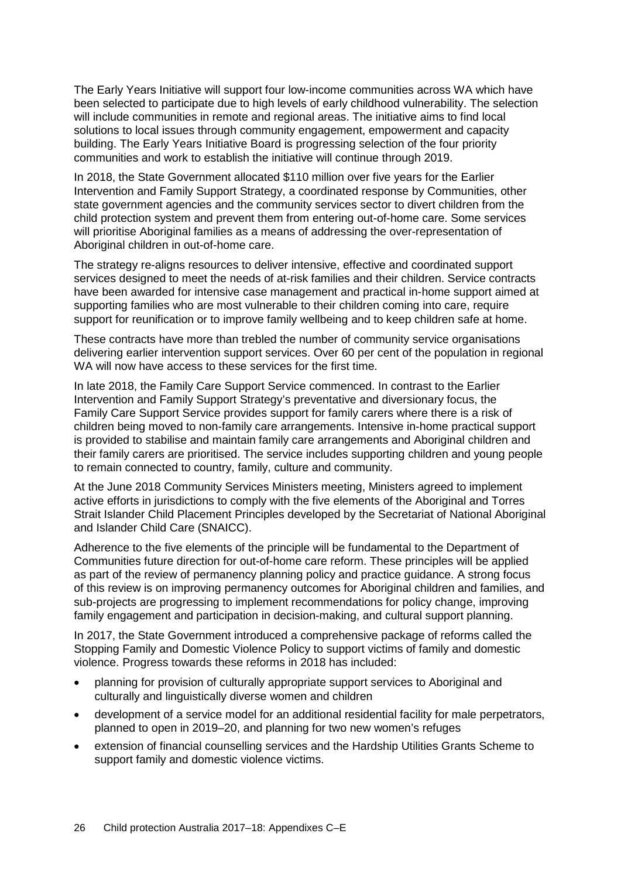The Early Years Initiative will support four low-income communities across WA which have been selected to participate due to high levels of early childhood vulnerability. The selection will include communities in remote and regional areas. The initiative aims to find local solutions to local issues through community engagement, empowerment and capacity building. The Early Years Initiative Board is progressing selection of the four priority communities and work to establish the initiative will continue through 2019.

In 2018, the State Government allocated \$110 million over five years for the Earlier Intervention and Family Support Strategy, a coordinated response by Communities, other state government agencies and the community services sector to divert children from the child protection system and prevent them from entering out-of-home care. Some services will prioritise Aboriginal families as a means of addressing the over-representation of Aboriginal children in out-of-home care.

The strategy re-aligns resources to deliver intensive, effective and coordinated support services designed to meet the needs of at-risk families and their children. Service contracts have been awarded for intensive case management and practical in-home support aimed at supporting families who are most vulnerable to their children coming into care, require support for reunification or to improve family wellbeing and to keep children safe at home.

These contracts have more than trebled the number of community service organisations delivering earlier intervention support services. Over 60 per cent of the population in regional WA will now have access to these services for the first time.

In late 2018, the Family Care Support Service commenced. In contrast to the Earlier Intervention and Family Support Strategy's preventative and diversionary focus, the Family Care Support Service provides support for family carers where there is a risk of children being moved to non-family care arrangements. Intensive in-home practical support is provided to stabilise and maintain family care arrangements and Aboriginal children and their family carers are prioritised. The service includes supporting children and young people to remain connected to country, family, culture and community.

At the June 2018 Community Services Ministers meeting, Ministers agreed to implement active efforts in jurisdictions to comply with the five elements of the Aboriginal and Torres Strait Islander Child Placement Principles developed by the Secretariat of National Aboriginal and Islander Child Care (SNAICC).

Adherence to the five elements of the principle will be fundamental to the Department of Communities future direction for out-of-home care reform. These principles will be applied as part of the review of permanency planning policy and practice guidance. A strong focus of this review is on improving permanency outcomes for Aboriginal children and families, and sub-projects are progressing to implement recommendations for policy change, improving family engagement and participation in decision-making, and cultural support planning.

In 2017, the State Government introduced a comprehensive package of reforms called the Stopping Family and Domestic Violence Policy to support victims of family and domestic violence. Progress towards these reforms in 2018 has included:

- planning for provision of culturally appropriate support services to Aboriginal and culturally and linguistically diverse women and children
- development of a service model for an additional residential facility for male perpetrators, planned to open in 2019–20, and planning for two new women's refuges
- extension of financial counselling services and the Hardship Utilities Grants Scheme to support family and domestic violence victims.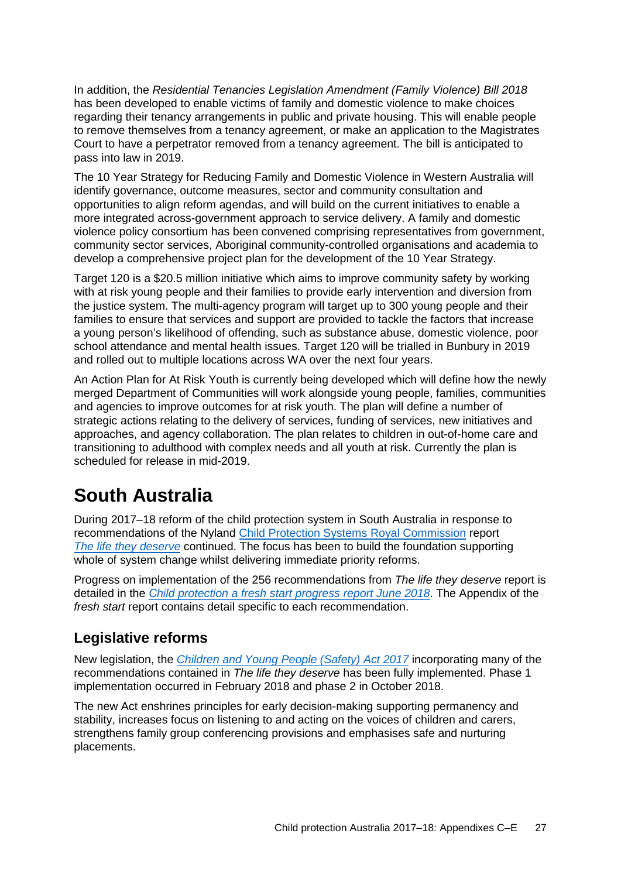In addition, the *Residential Tenancies Legislation Amendment (Family Violence) Bill 2018* has been developed to enable victims of family and domestic violence to make choices regarding their tenancy arrangements in public and private housing. This will enable people to remove themselves from a tenancy agreement, or make an application to the Magistrates Court to have a perpetrator removed from a tenancy agreement. The bill is anticipated to pass into law in 2019.

The 10 Year Strategy for Reducing Family and Domestic Violence in Western Australia will identify governance, outcome measures, sector and community consultation and opportunities to align reform agendas, and will build on the current initiatives to enable a more integrated across-government approach to service delivery. A family and domestic violence policy consortium has been convened comprising representatives from government, community sector services, Aboriginal community-controlled organisations and academia to develop a comprehensive project plan for the development of the 10 Year Strategy.

Target 120 is a \$20.5 million initiative which aims to improve community safety by working with at risk young people and their families to provide early intervention and diversion from the justice system. The multi-agency program will target up to 300 young people and their families to ensure that services and support are provided to tackle the factors that increase a young person's likelihood of offending, such as substance abuse, domestic violence, poor school attendance and mental health issues. Target 120 will be trialled in Bunbury in 2019 and rolled out to multiple locations across WA over the next four years.

An Action Plan for At Risk Youth is currently being developed which will define how the newly merged Department of Communities will work alongside young people, families, communities and agencies to improve outcomes for at risk youth. The plan will define a number of strategic actions relating to the delivery of services, funding of services, new initiatives and approaches, and agency collaboration. The plan relates to children in out-of-home care and transitioning to adulthood with complex needs and all youth at risk. Currently the plan is scheduled for release in mid-2019.

## <span id="page-30-0"></span>**South Australia**

During 2017–18 reform of the child protection system in South Australia in response to recommendations of the Nyland Child Protection [Systems Royal Commission](https://www.agd.sa.gov.au/projects-and-consultations/projects-archive/child-protection-systems-royal-commission) report *[The life they deserve](https://www.agd.sa.gov.au/sites/default/files/preface_summary_and_recommendations.pdf?v=1491456705)* continued. The focus has been to build the foundation supporting whole of system change whilst delivering immediate priority reforms.

Progress on implementation of the 256 recommendations from *The life they deserve* report is detailed in the *Child protection a [fresh start progress report June 2018](https://www.childprotection.sa.gov.au/sites/g/files/net916/f/cprit-fresh-start-progress-report-2018.pdf)*. The Appendix of the *fresh start* report contains detail specific to each recommendation.

### **Legislative reforms**

New legislation, the *[Children and Young People \(Safety\) Act 2017](https://www.legislation.sa.gov.au/LZ/C/A/Children%20and%20Young%20People%20(Safety)%20Act%202017.aspx)* incorporating many of the recommendations contained in *The life they deserve* has been fully implemented. Phase 1 implementation occurred in February 2018 and phase 2 in October 2018.

The new Act enshrines principles for early decision-making supporting permanency and stability, increases focus on listening to and acting on the voices of children and carers, strengthens family group conferencing provisions and emphasises safe and nurturing placements.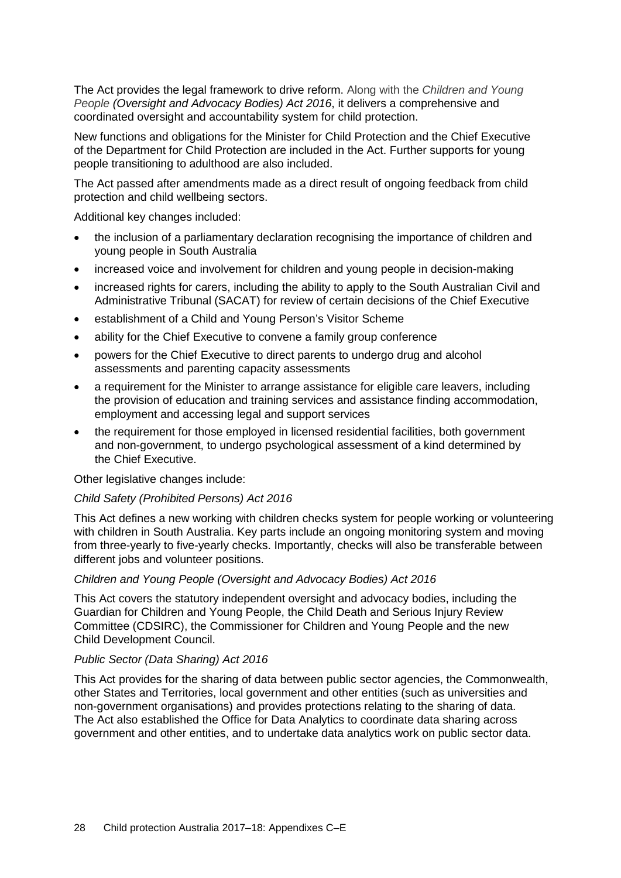The Act provides the legal framework to drive reform. Along with the *Children and Young People (Oversight and Advocacy Bodies) Act 2016*, it delivers a comprehensive and coordinated oversight and accountability system for child protection.

New functions and obligations for the Minister for Child Protection and the Chief Executive of the Department for Child Protection are included in the Act. Further supports for young people transitioning to adulthood are also included.

The Act passed after amendments made as a direct result of ongoing feedback from child protection and child wellbeing sectors.

Additional key changes included:

- the inclusion of a parliamentary declaration recognising the importance of children and young people in South Australia
- increased voice and involvement for children and young people in decision-making
- increased rights for carers, including the ability to apply to the South Australian Civil and Administrative Tribunal (SACAT) for review of certain decisions of the Chief Executive
- establishment of a Child and Young Person's Visitor Scheme
- ability for the Chief Executive to convene a family group conference
- powers for the Chief Executive to direct parents to undergo drug and alcohol assessments and parenting capacity assessments
- a requirement for the Minister to arrange assistance for eligible care leavers, including the provision of education and training services and assistance finding accommodation, employment and accessing legal and support services
- the requirement for those employed in licensed residential facilities, both government and non-government, to undergo psychological assessment of a kind determined by the Chief Executive.

Other legislative changes include:

#### *Child Safety (Prohibited Persons) Act 2016*

This Act defines a new working with children checks system for people working or volunteering with children in South Australia. Key parts include an ongoing monitoring system and moving from three-yearly to five-yearly checks. Importantly, checks will also be transferable between different jobs and volunteer positions.

#### *Children and Young People (Oversight and Advocacy Bodies) Act 2016*

This Act covers the statutory independent oversight and advocacy bodies, including the Guardian for Children and Young People, the Child Death and Serious Injury Review Committee (CDSIRC), the Commissioner for Children and Young People and the new Child Development Council.

#### *Public Sector (Data Sharing) Act 2016*

This Act provides for the sharing of data between public sector agencies, the Commonwealth, other States and Territories, local government and other entities (such as universities and non-government organisations) and provides protections relating to the sharing of data. The Act also established the Office for Data Analytics to coordinate data sharing across government and other entities, and to undertake data analytics work on public sector data.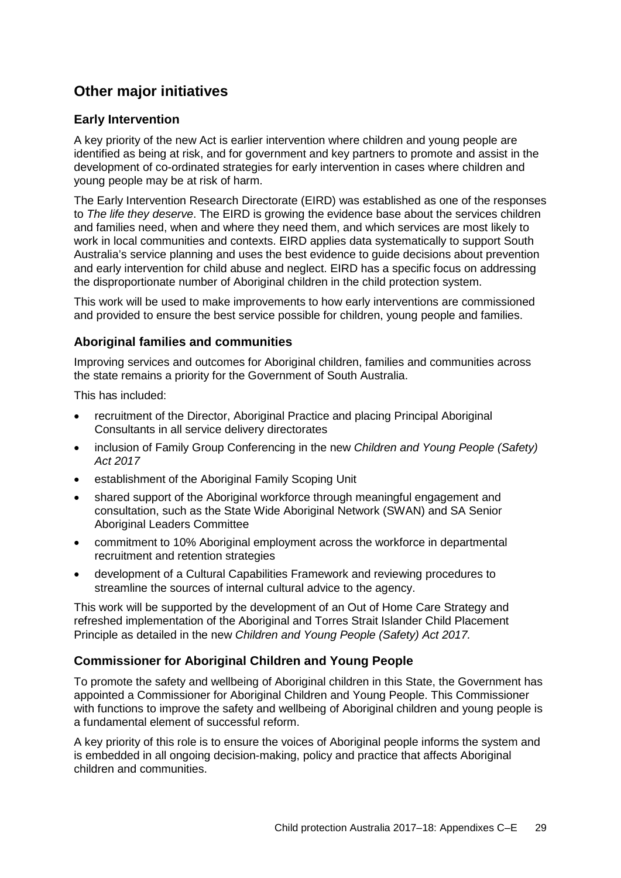### **Other major initiatives**

#### **Early Intervention**

A key priority of the new Act is earlier intervention where children and young people are identified as being at risk, and for government and key partners to promote and assist in the development of co-ordinated strategies for early intervention in cases where children and young people may be at risk of harm.

The Early Intervention Research Directorate (EIRD) was established as one of the responses to *The life they deserve*. The EIRD is growing the evidence base about the services children and families need, when and where they need them, and which services are most likely to work in local communities and contexts. EIRD applies data systematically to support South Australia's service planning and uses the best evidence to guide decisions about prevention and early intervention for child abuse and neglect. EIRD has a specific focus on addressing the disproportionate number of Aboriginal children in the child protection system.

This work will be used to make improvements to how early interventions are commissioned and provided to ensure the best service possible for children, young people and families.

#### **Aboriginal families and communities**

Improving services and outcomes for Aboriginal children, families and communities across the state remains a priority for the Government of South Australia.

This has included:

- recruitment of the Director, Aboriginal Practice and placing Principal Aboriginal Consultants in all service delivery directorates
- inclusion of Family Group Conferencing in the new *Children and Young People (Safety) Act 2017*
- establishment of the Aboriginal Family Scoping Unit
- shared support of the Aboriginal workforce through meaningful engagement and consultation, such as the State Wide Aboriginal Network (SWAN) and SA Senior Aboriginal Leaders Committee
- commitment to 10% Aboriginal employment across the workforce in departmental recruitment and retention strategies
- development of a Cultural Capabilities Framework and reviewing procedures to streamline the sources of internal cultural advice to the agency.

This work will be supported by the development of an Out of Home Care Strategy and refreshed implementation of the Aboriginal and Torres Strait Islander Child Placement Principle as detailed in the new *Children and Young People (Safety) Act 2017.*

#### **Commissioner for Aboriginal Children and Young People**

To promote the safety and wellbeing of Aboriginal children in this State, the Government has appointed a Commissioner for Aboriginal Children and Young People. This Commissioner with functions to improve the safety and wellbeing of Aboriginal children and young people is a fundamental element of successful reform.

A key priority of this role is to ensure the voices of Aboriginal people informs the system and is embedded in all ongoing decision-making, policy and practice that affects Aboriginal children and communities.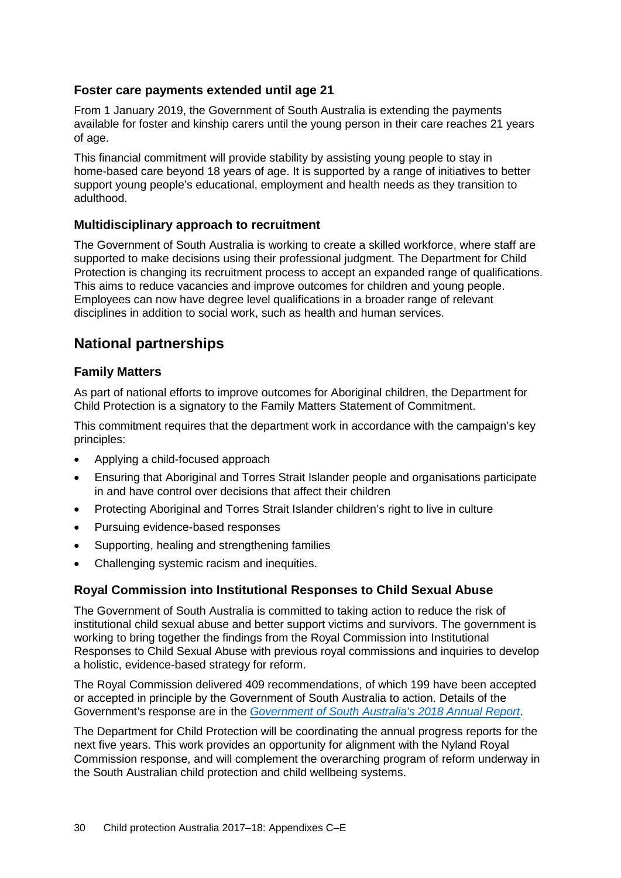#### **Foster care payments extended until age 21**

From 1 January 2019, the Government of South Australia is extending the payments available for foster and kinship carers until the young person in their care reaches 21 years of age.

This financial commitment will provide stability by assisting young people to stay in home-based care beyond 18 years of age. It is supported by a range of initiatives to better support young people's educational, employment and health needs as they transition to adulthood.

#### **Multidisciplinary approach to recruitment**

The Government of South Australia is working to create a skilled workforce, where staff are supported to make decisions using their professional judgment. The Department for Child Protection is changing its recruitment process to accept an expanded range of qualifications. This aims to reduce vacancies and improve outcomes for children and young people. Employees can now have degree level qualifications in a broader range of relevant disciplines in addition to social work, such as health and human services.

### **National partnerships**

#### **Family Matters**

As part of national efforts to improve outcomes for Aboriginal children, the Department for Child Protection is a signatory to the Family Matters Statement of Commitment.

This commitment requires that the department work in accordance with the campaign's key principles:

- Applying a child-focused approach
- Ensuring that Aboriginal and Torres Strait Islander people and organisations participate in and have control over decisions that affect their children
- Protecting Aboriginal and Torres Strait Islander children's right to live in culture
- Pursuing evidence-based responses
- Supporting, healing and strengthening families
- Challenging systemic racism and inequities.

#### **Royal Commission into Institutional Responses to Child Sexual Abuse**

The Government of South Australia is committed to taking action to reduce the risk of institutional child sexual abuse and better support victims and survivors. The government is working to bring together the findings from the Royal Commission into Institutional Responses to Child Sexual Abuse with previous royal commissions and inquiries to develop a holistic, evidence-based strategy for reform.

The Royal Commission delivered 409 recommendations, of which 199 have been accepted or accepted in principle by the Government of South Australia to action. Details of the Government's response are in the *[Government of South Australia's 2018 Annual Report](https://www.childprotection.sa.gov.au/sites/default/files/rcircsa-sa-annual-report-2018.pdf)*.

The Department for Child Protection will be coordinating the annual progress reports for the next five years. This work provides an opportunity for alignment with the Nyland Royal Commission response, and will complement the overarching program of reform underway in the South Australian child protection and child wellbeing systems.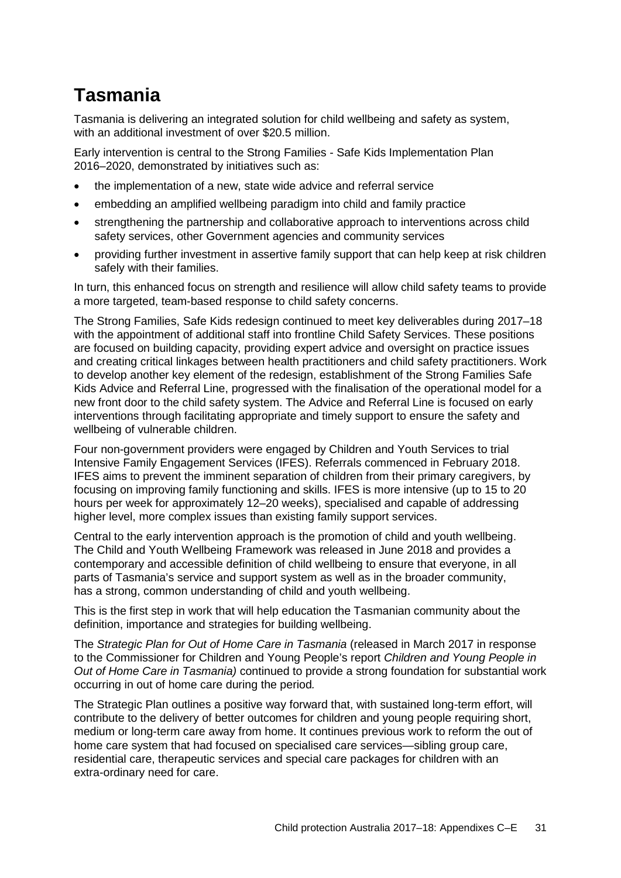## <span id="page-34-0"></span>**Tasmania**

Tasmania is delivering an integrated solution for child wellbeing and safety as system, with an additional investment of over \$20.5 million.

Early intervention is central to the Strong Families - Safe Kids Implementation Plan 2016–2020, demonstrated by initiatives such as:

- the implementation of a new, state wide advice and referral service
- embedding an amplified wellbeing paradigm into child and family practice
- strengthening the partnership and collaborative approach to interventions across child safety services, other Government agencies and community services
- providing further investment in assertive family support that can help keep at risk children safely with their families.

In turn, this enhanced focus on strength and resilience will allow child safety teams to provide a more targeted, team-based response to child safety concerns.

The Strong Families, Safe Kids redesign continued to meet key deliverables during 2017–18 with the appointment of additional staff into frontline Child Safety Services. These positions are focused on building capacity, providing expert advice and oversight on practice issues and creating critical linkages between health practitioners and child safety practitioners. Work to develop another key element of the redesign, establishment of the Strong Families Safe Kids Advice and Referral Line, progressed with the finalisation of the operational model for a new front door to the child safety system. The Advice and Referral Line is focused on early interventions through facilitating appropriate and timely support to ensure the safety and wellbeing of vulnerable children.

Four non-government providers were engaged by Children and Youth Services to trial Intensive Family Engagement Services (IFES). Referrals commenced in February 2018. IFES aims to prevent the imminent separation of children from their primary caregivers, by focusing on improving family functioning and skills. IFES is more intensive (up to 15 to 20 hours per week for approximately 12–20 weeks), specialised and capable of addressing higher level, more complex issues than existing family support services.

Central to the early intervention approach is the promotion of child and youth wellbeing. The Child and Youth Wellbeing Framework was released in June 2018 and provides a contemporary and accessible definition of child wellbeing to ensure that everyone, in all parts of Tasmania's service and support system as well as in the broader community, has a strong, common understanding of child and youth wellbeing.

This is the first step in work that will help education the Tasmanian community about the definition, importance and strategies for building wellbeing.

The *Strategic Plan for Out of Home Care in Tasmania* (released in March 2017 in response to the Commissioner for Children and Young People's report *Children and Young People in Out of Home Care in Tasmania)* continued to provide a strong foundation for substantial work occurring in out of home care during the period*.*

The Strategic Plan outlines a positive way forward that, with sustained long-term effort, will contribute to the delivery of better outcomes for children and young people requiring short, medium or long-term care away from home. It continues previous work to reform the out of home care system that had focused on specialised care services—sibling group care, residential care, therapeutic services and special care packages for children with an extra-ordinary need for care.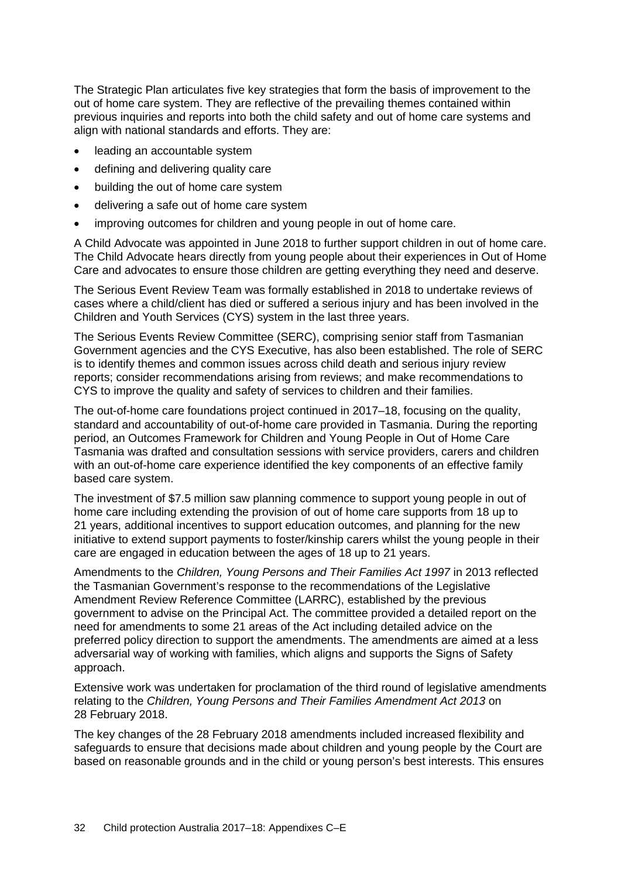The Strategic Plan articulates five key strategies that form the basis of improvement to the out of home care system. They are reflective of the prevailing themes contained within previous inquiries and reports into both the child safety and out of home care systems and align with national standards and efforts. They are:

- leading an accountable system
- defining and delivering quality care
- building the out of home care system
- delivering a safe out of home care system
- improving outcomes for children and young people in out of home care.

A Child Advocate was appointed in June 2018 to further support children in out of home care. The Child Advocate hears directly from young people about their experiences in Out of Home Care and advocates to ensure those children are getting everything they need and deserve.

The Serious Event Review Team was formally established in 2018 to undertake reviews of cases where a child/client has died or suffered a serious injury and has been involved in the Children and Youth Services (CYS) system in the last three years.

The Serious Events Review Committee (SERC), comprising senior staff from Tasmanian Government agencies and the CYS Executive, has also been established. The role of SERC is to identify themes and common issues across child death and serious injury review reports; consider recommendations arising from reviews; and make recommendations to CYS to improve the quality and safety of services to children and their families.

The out-of-home care foundations project continued in 2017–18, focusing on the quality, standard and accountability of out-of-home care provided in Tasmania. During the reporting period, an Outcomes Framework for Children and Young People in Out of Home Care Tasmania was drafted and consultation sessions with service providers, carers and children with an out-of-home care experience identified the key components of an effective family based care system.

The investment of \$7.5 million saw planning commence to support young people in out of home care including extending the provision of out of home care supports from 18 up to 21 years, additional incentives to support education outcomes, and planning for the new initiative to extend support payments to foster/kinship carers whilst the young people in their care are engaged in education between the ages of 18 up to 21 years.

Amendments to the *Children, Young Persons and Their Families Act 1997* in 2013 reflected the Tasmanian Government's response to the recommendations of the Legislative Amendment Review Reference Committee (LARRC), established by the previous government to advise on the Principal Act. The committee provided a detailed report on the need for amendments to some 21 areas of the Act including detailed advice on the preferred policy direction to support the amendments. The amendments are aimed at a less adversarial way of working with families, which aligns and supports the Signs of Safety approach.

Extensive work was undertaken for proclamation of the third round of legislative amendments relating to the *Children, Young Persons and Their Families Amendment Act 2013* on 28 February 2018.

The key changes of the 28 February 2018 amendments included increased flexibility and safeguards to ensure that decisions made about children and young people by the Court are based on reasonable grounds and in the child or young person's best interests. This ensures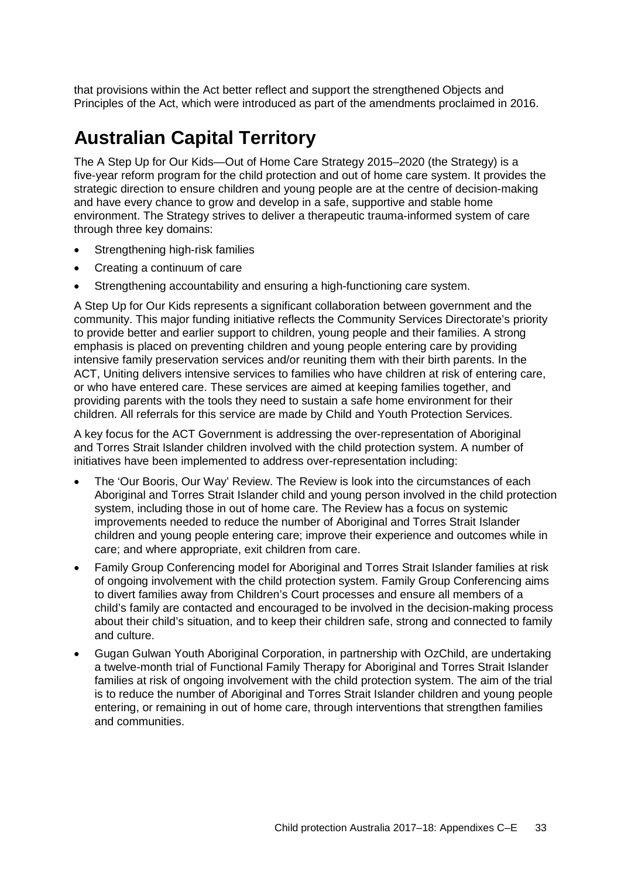that provisions within the Act better reflect and support the strengthened Objects and Principles of the Act, which were introduced as part of the amendments proclaimed in 2016.

## <span id="page-36-0"></span>**Australian Capital Territory**

The A Step Up for Our Kids—Out of Home Care Strategy 2015–2020 (the Strategy) is a five-year reform program for the child protection and out of home care system. It provides the strategic direction to ensure children and young people are at the centre of decision-making and have every chance to grow and develop in a safe, supportive and stable home environment. The Strategy strives to deliver a therapeutic trauma-informed system of care through three key domains:

- Strengthening high-risk families
- Creating a continuum of care
- Strengthening accountability and ensuring a high-functioning care system.

A Step Up for Our Kids represents a significant collaboration between government and the community. This major funding initiative reflects the Community Services Directorate's priority to provide better and earlier support to children, young people and their families. A strong emphasis is placed on preventing children and young people entering care by providing intensive family preservation services and/or reuniting them with their birth parents. In the ACT, Uniting delivers intensive services to families who have children at risk of entering care, or who have entered care. These services are aimed at keeping families together, and providing parents with the tools they need to sustain a safe home environment for their children. All referrals for this service are made by Child and Youth Protection Services.

A key focus for the ACT Government is addressing the over-representation of Aboriginal and Torres Strait Islander children involved with the child protection system. A number of initiatives have been implemented to address over-representation including:

- The 'Our Booris, Our Way' Review. The Review is look into the circumstances of each Aboriginal and Torres Strait Islander child and young person involved in the child protection system, including those in out of home care. The Review has a focus on systemic improvements needed to reduce the number of Aboriginal and Torres Strait Islander children and young people entering care; improve their experience and outcomes while in care; and where appropriate, exit children from care.
- Family Group Conferencing model for Aboriginal and Torres Strait Islander families at risk of ongoing involvement with the child protection system. Family Group Conferencing aims to divert families away from Children's Court processes and ensure all members of a child's family are contacted and encouraged to be involved in the decision-making process about their child's situation, and to keep their children safe, strong and connected to family and culture.
- Gugan Gulwan Youth Aboriginal Corporation, in partnership with OzChild, are undertaking a twelve-month trial of Functional Family Therapy for Aboriginal and Torres Strait Islander families at risk of ongoing involvement with the child protection system. The aim of the trial is to reduce the number of Aboriginal and Torres Strait Islander children and young people entering, or remaining in out of home care, through interventions that strengthen families and communities.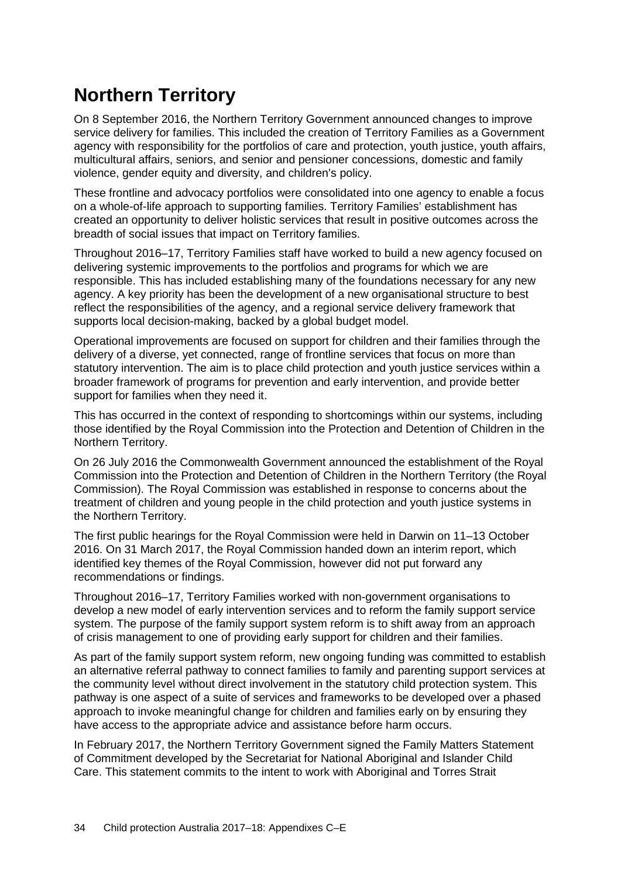## <span id="page-37-0"></span>**Northern Territory**

On 8 September 2016, the Northern Territory Government announced changes to improve service delivery for families. This included the creation of Territory Families as a Government agency with responsibility for the portfolios of care and protection, youth justice, youth affairs, multicultural affairs, seniors, and senior and pensioner concessions, domestic and family violence, gender equity and diversity, and children's policy.

These frontline and advocacy portfolios were consolidated into one agency to enable a focus on a whole-of-life approach to supporting families. Territory Families' establishment has created an opportunity to deliver holistic services that result in positive outcomes across the breadth of social issues that impact on Territory families.

Throughout 2016–17, Territory Families staff have worked to build a new agency focused on delivering systemic improvements to the portfolios and programs for which we are responsible. This has included establishing many of the foundations necessary for any new agency. A key priority has been the development of a new organisational structure to best reflect the responsibilities of the agency, and a regional service delivery framework that supports local decision-making, backed by a global budget model.

Operational improvements are focused on support for children and their families through the delivery of a diverse, yet connected, range of frontline services that focus on more than statutory intervention. The aim is to place child protection and youth justice services within a broader framework of programs for prevention and early intervention, and provide better support for families when they need it.

This has occurred in the context of responding to shortcomings within our systems, including those identified by the Royal Commission into the Protection and Detention of Children in the Northern Territory.

On 26 July 2016 the Commonwealth Government announced the establishment of the Royal Commission into the Protection and Detention of Children in the Northern Territory (the Royal Commission). The Royal Commission was established in response to concerns about the treatment of children and young people in the child protection and youth justice systems in the Northern Territory.

The first public hearings for the Royal Commission were held in Darwin on 11–13 October 2016. On 31 March 2017, the Royal Commission handed down an interim report, which identified key themes of the Royal Commission, however did not put forward any recommendations or findings.

Throughout 2016–17, Territory Families worked with non-government organisations to develop a new model of early intervention services and to reform the family support service system. The purpose of the family support system reform is to shift away from an approach of crisis management to one of providing early support for children and their families.

As part of the family support system reform, new ongoing funding was committed to establish an alternative referral pathway to connect families to family and parenting support services at the community level without direct involvement in the statutory child protection system. This pathway is one aspect of a suite of services and frameworks to be developed over a phased approach to invoke meaningful change for children and families early on by ensuring they have access to the appropriate advice and assistance before harm occurs.

In February 2017, the Northern Territory Government signed the Family Matters Statement of Commitment developed by the Secretariat for National Aboriginal and Islander Child Care. This statement commits to the intent to work with Aboriginal and Torres Strait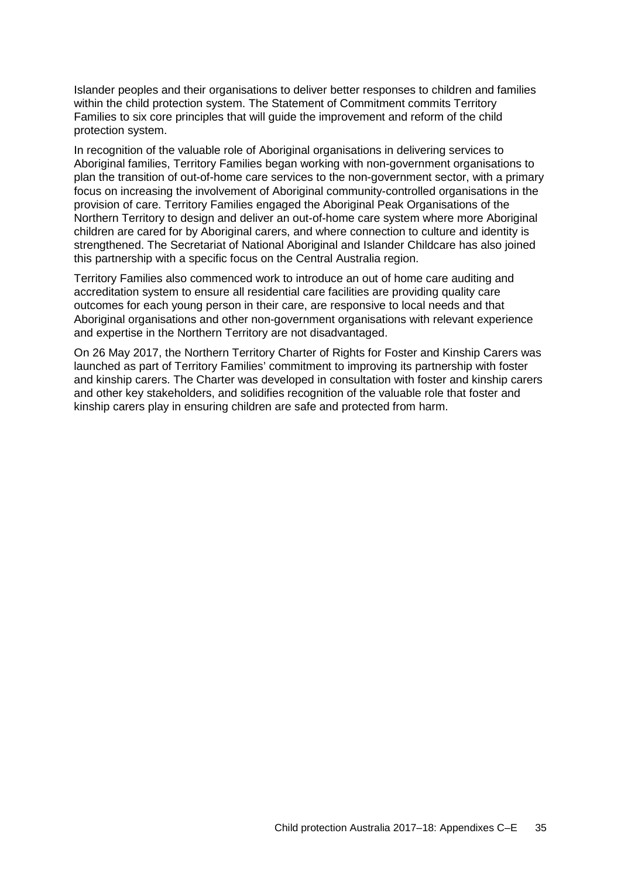Islander peoples and their organisations to deliver better responses to children and families within the child protection system. The Statement of Commitment commits Territory Families to six core principles that will guide the improvement and reform of the child protection system.

In recognition of the valuable role of Aboriginal organisations in delivering services to Aboriginal families, Territory Families began working with non-government organisations to plan the transition of out-of-home care services to the non-government sector, with a primary focus on increasing the involvement of Aboriginal community-controlled organisations in the provision of care. Territory Families engaged the Aboriginal Peak Organisations of the Northern Territory to design and deliver an out-of-home care system where more Aboriginal children are cared for by Aboriginal carers, and where connection to culture and identity is strengthened. The Secretariat of National Aboriginal and Islander Childcare has also joined this partnership with a specific focus on the Central Australia region.

Territory Families also commenced work to introduce an out of home care auditing and accreditation system to ensure all residential care facilities are providing quality care outcomes for each young person in their care, are responsive to local needs and that Aboriginal organisations and other non-government organisations with relevant experience and expertise in the Northern Territory are not disadvantaged.

On 26 May 2017, the Northern Territory Charter of Rights for Foster and Kinship Carers was launched as part of Territory Families' commitment to improving its partnership with foster and kinship carers. The Charter was developed in consultation with foster and kinship carers and other key stakeholders, and solidifies recognition of the valuable role that foster and kinship carers play in ensuring children are safe and protected from harm.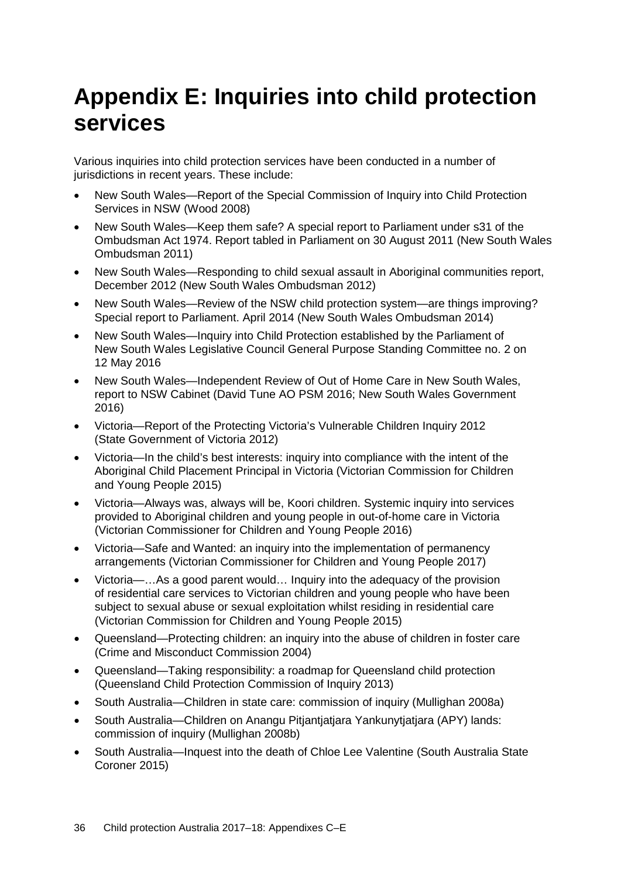# <span id="page-39-0"></span>**Appendix E: Inquiries into child protection services**

Various inquiries into child protection services have been conducted in a number of jurisdictions in recent years. These include:

- New South Wales—Report of the Special Commission of Inquiry into Child Protection Services in NSW (Wood 2008)
- New South Wales—Keep them safe? A special report to Parliament under s31 of the Ombudsman Act 1974. Report tabled in Parliament on 30 August 2011 (New South Wales Ombudsman 2011)
- New South Wales—Responding to child sexual assault in Aboriginal communities report, December 2012 (New South Wales Ombudsman 2012)
- New South Wales—Review of the NSW child protection system—are things improving? Special report to Parliament. April 2014 (New South Wales Ombudsman 2014)
- New South Wales—Inquiry into Child Protection established by the Parliament of New South Wales Legislative Council General Purpose Standing Committee no. 2 on 12 May 2016
- New South Wales—Independent Review of Out of Home Care in New South Wales, report to NSW Cabinet (David Tune AO PSM 2016; New South Wales Government 2016)
- Victoria—Report of the Protecting Victoria's Vulnerable Children Inquiry 2012 (State Government of Victoria 2012)
- Victoria—In the child's best interests: inquiry into compliance with the intent of the Aboriginal Child Placement Principal in Victoria (Victorian Commission for Children and Young People 2015)
- Victoria—Always was, always will be, Koori children. Systemic inquiry into services provided to Aboriginal children and young people in out-of-home care in Victoria (Victorian Commissioner for Children and Young People 2016)
- Victoria—Safe and Wanted: an inquiry into the implementation of permanency arrangements (Victorian Commissioner for Children and Young People 2017)
- Victoria—…As a good parent would… Inquiry into the adequacy of the provision of residential care services to Victorian children and young people who have been subject to sexual abuse or sexual exploitation whilst residing in residential care (Victorian Commission for Children and Young People 2015)
- Queensland—Protecting children: an inquiry into the abuse of children in foster care (Crime and Misconduct Commission 2004)
- Queensland—Taking responsibility: a roadmap for Queensland child protection (Queensland Child Protection Commission of Inquiry 2013)
- South Australia—Children in state care: commission of inquiry (Mullighan 2008a)
- South Australia—Children on Anangu Pitjantjatjara Yankunytjatjara (APY) lands: commission of inquiry (Mullighan 2008b)
- South Australia—Inquest into the death of Chloe Lee Valentine (South Australia State Coroner 2015)